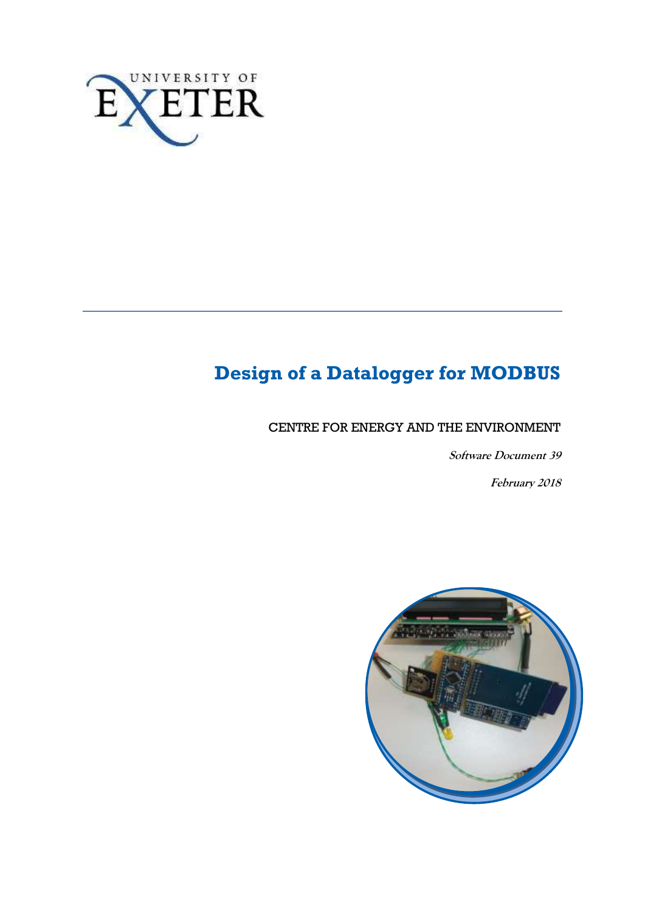

# **Design of a Datalogger for MODBUS**

CENTRE FOR ENERGY AND THE ENVIRONMENT

**Software Document 39**

**February 2018**

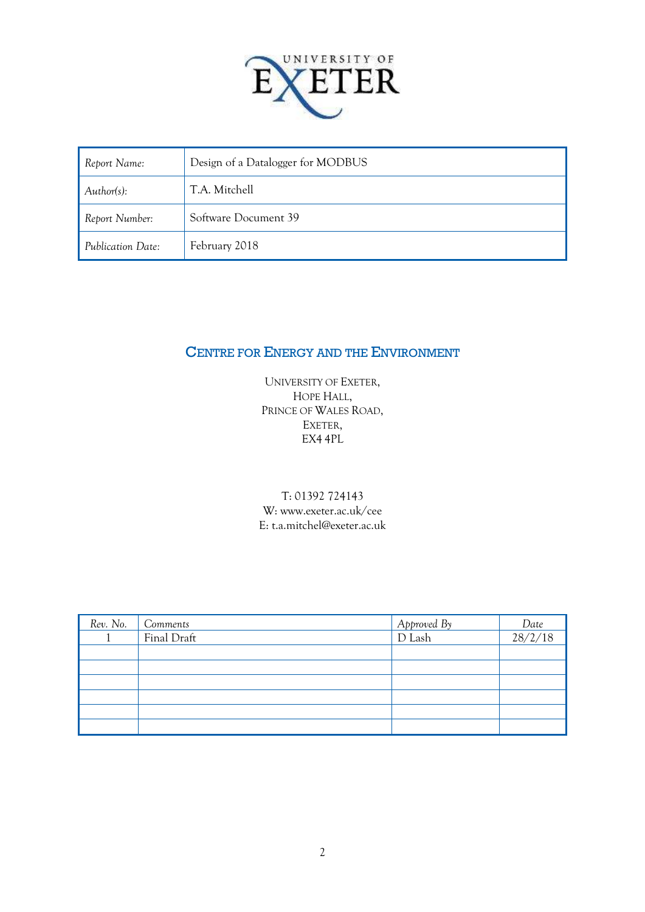

| Report Name:      | Design of a Datalogger for MODBUS |  |  |
|-------------------|-----------------------------------|--|--|
| Author(s):        | T.A. Mitchell                     |  |  |
| Report Number:    | Software Document 39              |  |  |
| Publication Date: | February 2018                     |  |  |

### CENTRE FOR ENERGY AND THE ENVIRONMENT

UNIVERSITY OF EXETER, HOPE HALL, PRINCE OF WALES ROAD, EXETER, EX4 4PL

T: 01392 724143 W: www.exeter.ac.uk/cee E: t.a.mitchel@exeter.ac.uk

| Rev. No. | Comments    | Approved By<br>D Lash | Date    |
|----------|-------------|-----------------------|---------|
|          | Final Draft |                       | 28/2/18 |
|          |             |                       |         |
|          |             |                       |         |
|          |             |                       |         |
|          |             |                       |         |
|          |             |                       |         |
|          |             |                       |         |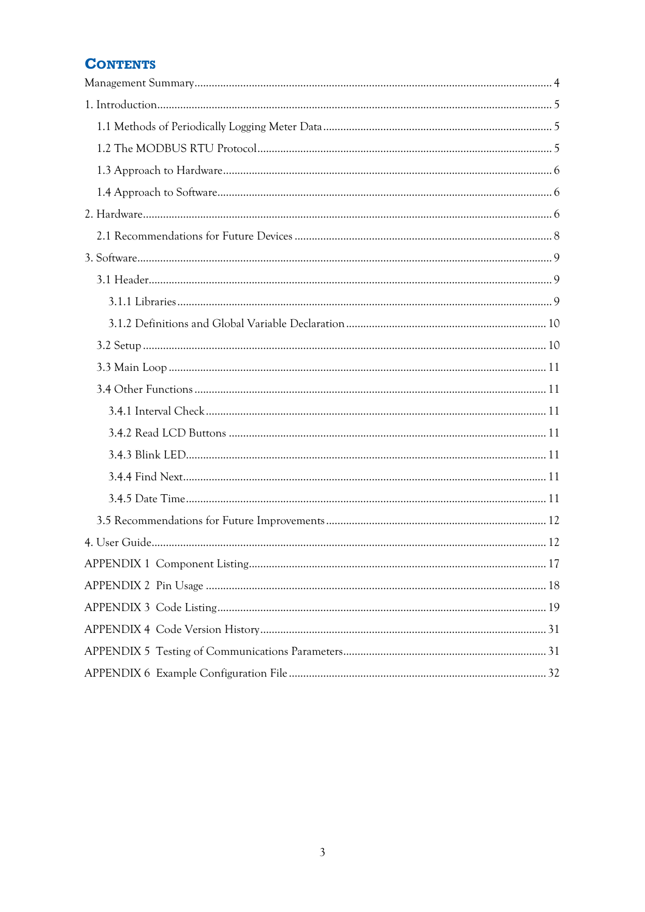### **CONTENTS**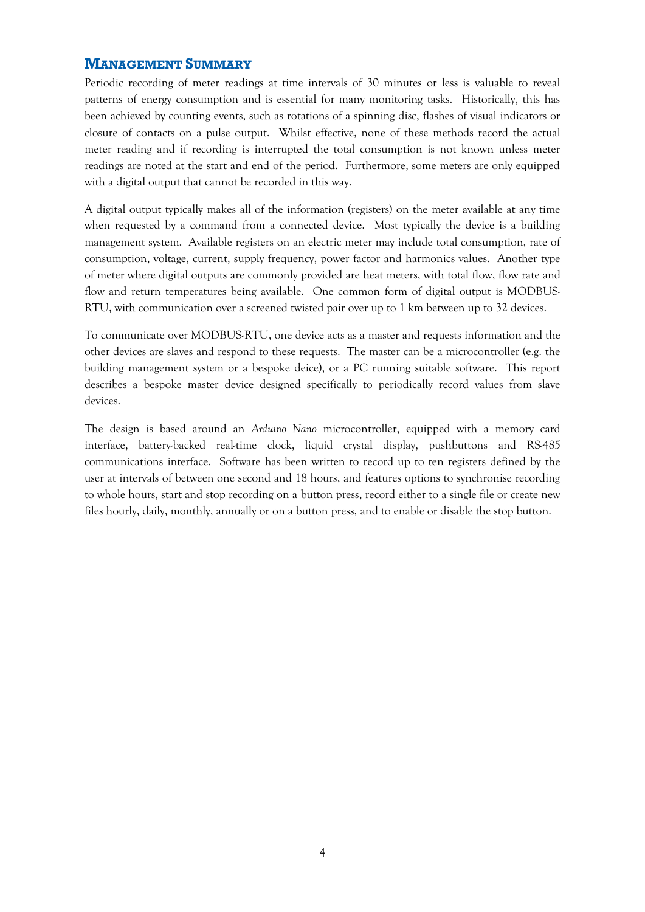#### <span id="page-3-0"></span>**MANAGEMENT SUMMARY**

Periodic recording of meter readings at time intervals of 30 minutes or less is valuable to reveal patterns of energy consumption and is essential for many monitoring tasks. Historically, this has been achieved by counting events, such as rotations of a spinning disc, flashes of visual indicators or closure of contacts on a pulse output. Whilst effective, none of these methods record the actual meter reading and if recording is interrupted the total consumption is not known unless meter readings are noted at the start and end of the period. Furthermore, some meters are only equipped with a digital output that cannot be recorded in this way.

A digital output typically makes all of the information (registers) on the meter available at any time when requested by a command from a connected device. Most typically the device is a building management system. Available registers on an electric meter may include total consumption, rate of consumption, voltage, current, supply frequency, power factor and harmonics values. Another type of meter where digital outputs are commonly provided are heat meters, with total flow, flow rate and flow and return temperatures being available. One common form of digital output is MODBUS-RTU, with communication over a screened twisted pair over up to 1 km between up to 32 devices.

To communicate over MODBUS-RTU, one device acts as a master and requests information and the other devices are slaves and respond to these requests. The master can be a microcontroller (e.g. the building management system or a bespoke deice), or a PC running suitable software. This report describes a bespoke master device designed specifically to periodically record values from slave devices.

The design is based around an *Arduino Nano* microcontroller, equipped with a memory card interface, battery-backed real-time clock, liquid crystal display, pushbuttons and RS-485 communications interface. Software has been written to record up to ten registers defined by the user at intervals of between one second and 18 hours, and features options to synchronise recording to whole hours, start and stop recording on a button press, record either to a single file or create new files hourly, daily, monthly, annually or on a button press, and to enable or disable the stop button.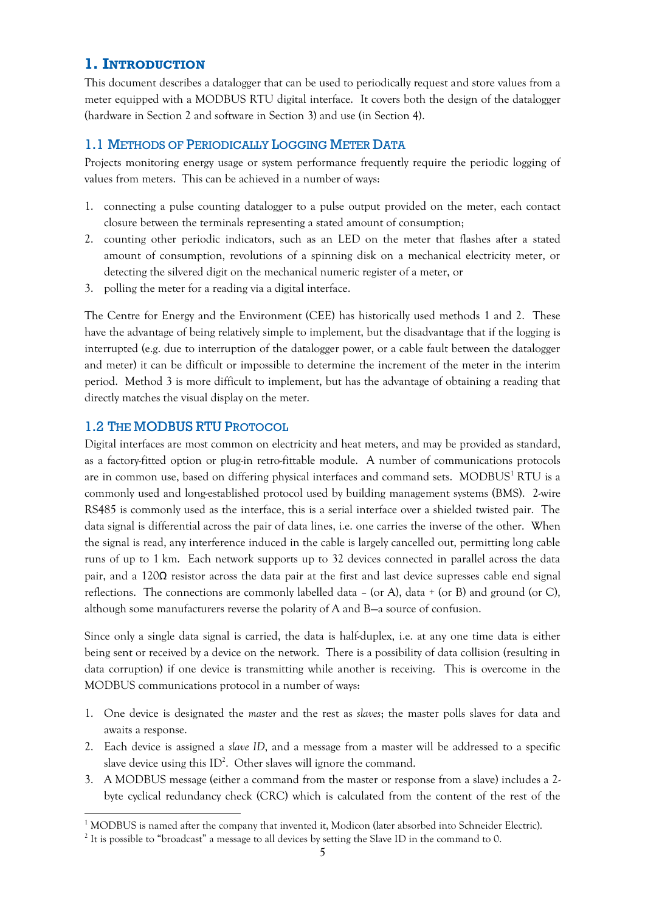#### <span id="page-4-0"></span>**1. INTRODUCTION**

This document describes a datalogger that can be used to periodically request and store values from a meter equipped with a MODBUS RTU digital interface. It covers both the design of the datalogger (hardware in Section 2 and software in Section 3) and use (in Section 4).

#### <span id="page-4-1"></span>1.1 METHODS OF PERIODICALLY LOGGING METER DATA

Projects monitoring energy usage or system performance frequently require the periodic logging of values from meters. This can be achieved in a number of ways:

- 1. connecting a pulse counting datalogger to a pulse output provided on the meter, each contact closure between the terminals representing a stated amount of consumption;
- 2. counting other periodic indicators, such as an LED on the meter that flashes after a stated amount of consumption, revolutions of a spinning disk on a mechanical electricity meter, or detecting the silvered digit on the mechanical numeric register of a meter, or
- 3. polling the meter for a reading via a digital interface.

The Centre for Energy and the Environment (CEE) has historically used methods 1 and 2. These have the advantage of being relatively simple to implement, but the disadvantage that if the logging is interrupted (e.g. due to interruption of the datalogger power, or a cable fault between the datalogger and meter) it can be difficult or impossible to determine the increment of the meter in the interim period. Method 3 is more difficult to implement, but has the advantage of obtaining a reading that directly matches the visual display on the meter.

#### <span id="page-4-2"></span>1.2 THE MODBUS RTU PROTOCOL

<u>.</u>

Digital interfaces are most common on electricity and heat meters, and may be provided as standard, as a factory-fitted option or plug-in retro-fittable module. A number of communications protocols are in common use, based on differing physical interfaces and command sets. MODBUS<sup>1</sup> RTU is a commonly used and long-established protocol used by building management systems (BMS). 2-wire RS485 is commonly used as the interface, this is a serial interface over a shielded twisted pair. The data signal is differential across the pair of data lines, i.e. one carries the inverse of the other. When the signal is read, any interference induced in the cable is largely cancelled out, permitting long cable runs of up to 1 km. Each network supports up to 32 devices connected in parallel across the data pair, and a 120Ω resistor across the data pair at the first and last device supresses cable end signal reflections. The connections are commonly labelled data – (or A), data + (or B) and ground (or C), although some manufacturers reverse the polarity of A and B—a source of confusion.

Since only a single data signal is carried, the data is half-duplex, i.e. at any one time data is either being sent or received by a device on the network. There is a possibility of data collision (resulting in data corruption) if one device is transmitting while another is receiving. This is overcome in the MODBUS communications protocol in a number of ways:

- 1. One device is designated the *master* and the rest as *slaves*; the master polls slaves for data and awaits a response.
- 2. Each device is assigned a *slave ID*, and a message from a master will be addressed to a specific slave device using this  $ID^2$ . Other slaves will ignore the command.
- 3. A MODBUS message (either a command from the master or response from a slave) includes a 2 byte cyclical redundancy check (CRC) which is calculated from the content of the rest of the

 $1$  MODBUS is named after the company that invented it, Modicon (later absorbed into Schneider Electric).

<sup>&</sup>lt;sup>2</sup> It is possible to "broadcast" a message to all devices by setting the Slave ID in the command to 0.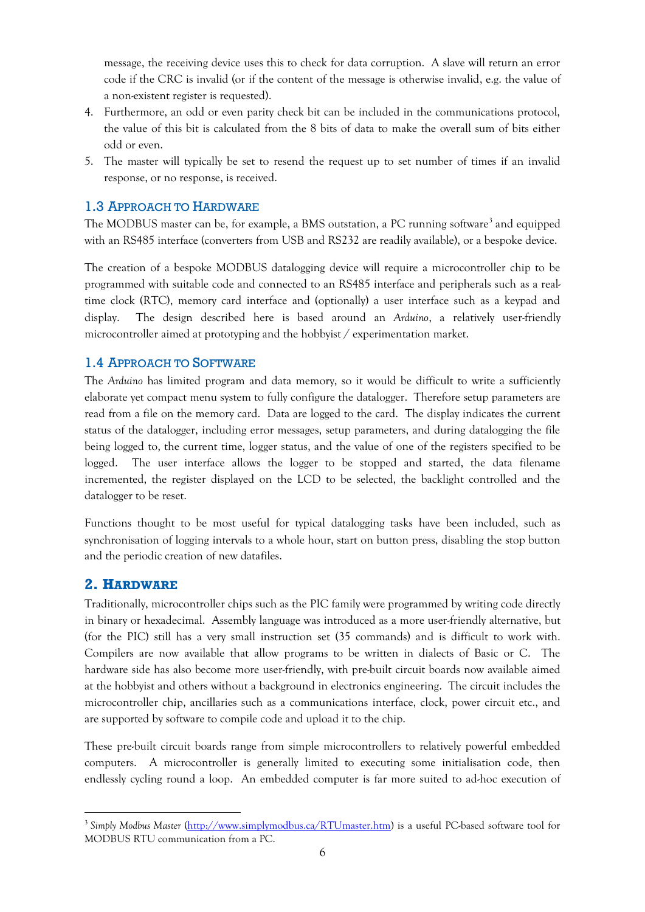message, the receiving device uses this to check for data corruption. A slave will return an error code if the CRC is invalid (or if the content of the message is otherwise invalid, e.g. the value of a non-existent register is requested).

- 4. Furthermore, an odd or even parity check bit can be included in the communications protocol, the value of this bit is calculated from the 8 bits of data to make the overall sum of bits either odd or even.
- 5. The master will typically be set to resend the request up to set number of times if an invalid response, or no response, is received.

#### <span id="page-5-0"></span>1.3 APPROACH TO HARDWARE

The MODBUS master can be, for example, a BMS outstation, a PC running software<sup>3</sup> and equipped with an RS485 interface (converters from USB and RS232 are readily available), or a bespoke device.

The creation of a bespoke MODBUS datalogging device will require a microcontroller chip to be programmed with suitable code and connected to an RS485 interface and peripherals such as a realtime clock (RTC), memory card interface and (optionally) a user interface such as a keypad and display. The design described here is based around an *Arduino*, a relatively user-friendly microcontroller aimed at prototyping and the hobbyist / experimentation market.

#### <span id="page-5-1"></span>1.4 APPROACH TO SOFTWARE

The *Arduino* has limited program and data memory, so it would be difficult to write a sufficiently elaborate yet compact menu system to fully configure the datalogger. Therefore setup parameters are read from a file on the memory card. Data are logged to the card. The display indicates the current status of the datalogger, including error messages, setup parameters, and during datalogging the file being logged to, the current time, logger status, and the value of one of the registers specified to be logged. The user interface allows the logger to be stopped and started, the data filename incremented, the register displayed on the LCD to be selected, the backlight controlled and the datalogger to be reset.

Functions thought to be most useful for typical datalogging tasks have been included, such as synchronisation of logging intervals to a whole hour, start on button press, disabling the stop button and the periodic creation of new datafiles.

#### <span id="page-5-2"></span>**2. HARDWARE**

<u>.</u>

Traditionally, microcontroller chips such as the PIC family were programmed by writing code directly in binary or hexadecimal. Assembly language was introduced as a more user-friendly alternative, but (for the PIC) still has a very small instruction set (35 commands) and is difficult to work with. Compilers are now available that allow programs to be written in dialects of Basic or C. The hardware side has also become more user-friendly, with pre-built circuit boards now available aimed at the hobbyist and others without a background in electronics engineering. The circuit includes the microcontroller chip, ancillaries such as a communications interface, clock, power circuit etc., and are supported by software to compile code and upload it to the chip.

These pre-built circuit boards range from simple microcontrollers to relatively powerful embedded computers. A microcontroller is generally limited to executing some initialisation code, then endlessly cycling round a loop. An embedded computer is far more suited to ad-hoc execution of

<sup>3</sup> *Simply Modbus Master* [\(http://www.simplymodbus.ca/RTUmaster.htm\)](http://www.simplymodbus.ca/RTUmaster.htm) is a useful PC-based software tool for MODBUS RTU communication from a PC.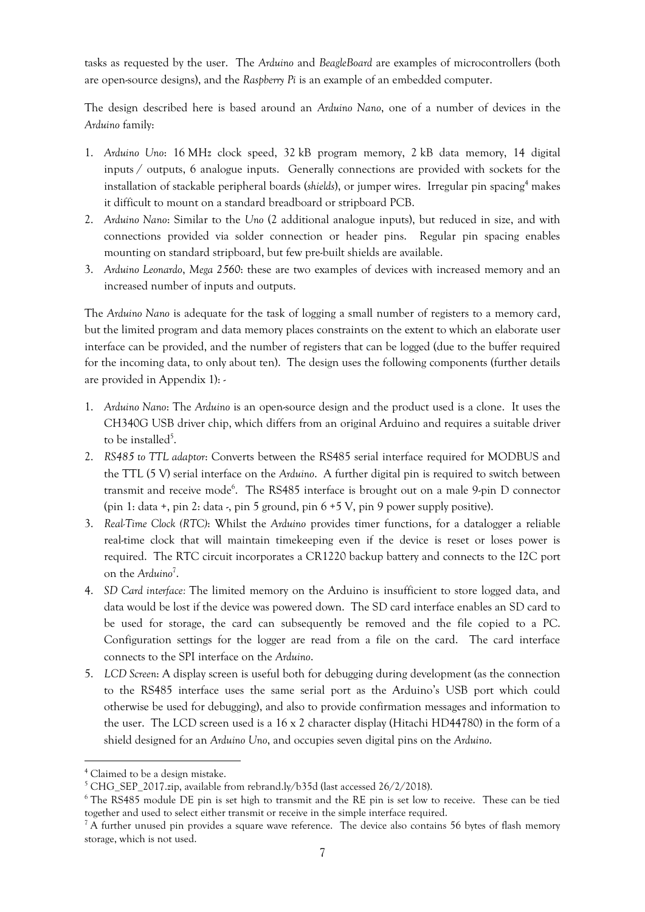tasks as requested by the user. The *Arduino* and *BeagleBoard* are examples of microcontrollers (both are open-source designs), and the *Raspberry Pi* is an example of an embedded computer.

The design described here is based around an *Arduino Nano*, one of a number of devices in the *Arduino* family:

- 1. *Arduino Uno*: 16 MHz clock speed, 32 kB program memory, 2 kB data memory, 14 digital inputs / outputs, 6 analogue inputs. Generally connections are provided with sockets for the installation of stackable peripheral boards (*shields*), or jumper wires. Irregular pin spacing<sup>4</sup> makes it difficult to mount on a standard breadboard or stripboard PCB.
- 2. *Arduino Nano*: Similar to the *Uno* (2 additional analogue inputs), but reduced in size, and with connections provided via solder connection or header pins. Regular pin spacing enables mounting on standard stripboard, but few pre-built shields are available.
- 3. *Arduino Leonardo*, *Mega 2560*: these are two examples of devices with increased memory and an increased number of inputs and outputs.

The *Arduino Nano* is adequate for the task of logging a small number of registers to a memory card, but the limited program and data memory places constraints on the extent to which an elaborate user interface can be provided, and the number of registers that can be logged (due to the buffer required for the incoming data, to only about ten). The design uses the following components (further details are provided in Appendix 1): -

- 1. *Arduino Nano*: The *Arduino* is an open-source design and the product used is a clone. It uses the CH340G USB driver chip, which differs from an original Arduino and requires a suitable driver to be installed<sup>5</sup>.
- 2. *RS485 to TTL adaptor*: Converts between the RS485 serial interface required for MODBUS and the TTL (5 V) serial interface on the *Arduino*. A further digital pin is required to switch between transmit and receive mode<sup>6</sup>. The RS485 interface is brought out on a male 9-pin D connector (pin 1: data +, pin 2: data -, pin 5 ground, pin 6 +5 V, pin 9 power supply positive).
- 3. *Real-Time Clock (RTC)*: Whilst the *Arduino* provides timer functions, for a datalogger a reliable real-time clock that will maintain timekeeping even if the device is reset or loses power is required. The RTC circuit incorporates a CR1220 backup battery and connects to the I2C port on the Arduino<sup>7</sup>.
- 4. *SD Card interface:* The limited memory on the Arduino is insufficient to store logged data, and data would be lost if the device was powered down. The SD card interface enables an SD card to be used for storage, the card can subsequently be removed and the file copied to a PC. Configuration settings for the logger are read from a file on the card. The card interface connects to the SPI interface on the *Arduino*.
- 5. *LCD Screen*: A display screen is useful both for debugging during development (as the connection to the RS485 interface uses the same serial port as the Arduino's USB port which could otherwise be used for debugging), and also to provide confirmation messages and information to the user. The LCD screen used is a 16 x 2 character display (Hitachi HD44780) in the form of a shield designed for an *Arduino Uno*, and occupies seven digital pins on the *Arduino*.

<u>.</u>

<sup>4</sup> Claimed to be a design mistake.

<sup>&</sup>lt;sup>5</sup> CHG\_SEP\_2017.zip, available from rebrand.ly/b35d (last accessed 26/2/2018).

<sup>6</sup> The RS485 module DE pin is set high to transmit and the RE pin is set low to receive. These can be tied together and used to select either transmit or receive in the simple interface required.

<sup>&</sup>lt;sup>7</sup> A further unused pin provides a square wave reference. The device also contains 56 bytes of flash memory storage, which is not used.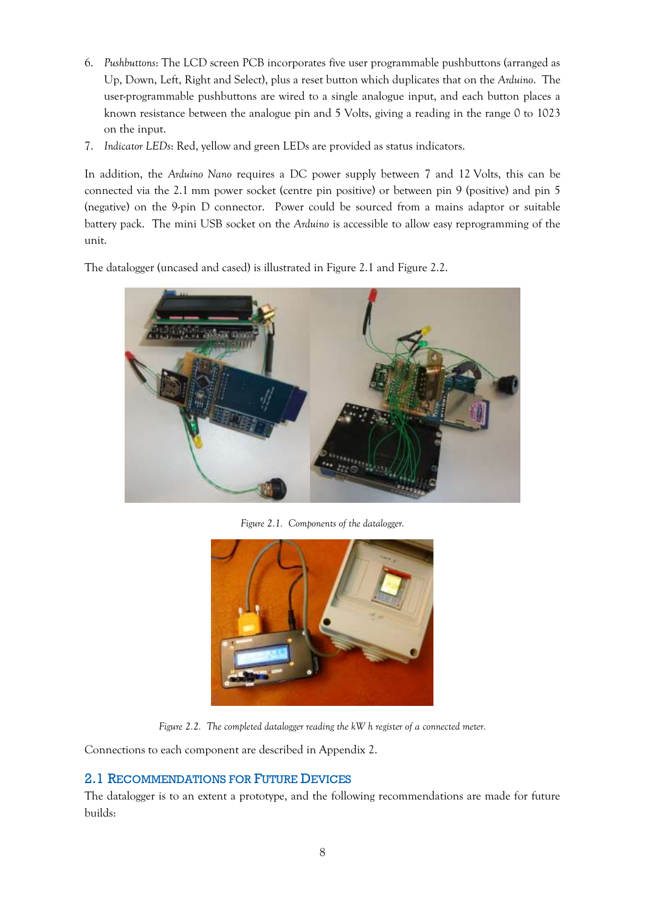- 6. *Pushbuttons*: The LCD screen PCB incorporates five user programmable pushbuttons (arranged as Up, Down, Left, Right and Select), plus a reset button which duplicates that on the *Arduino*. The user-programmable pushbuttons are wired to a single analogue input, and each button places a known resistance between the analogue pin and 5 Volts, giving a reading in the range 0 to 1023 on the input.
- 7. *Indicator LEDs*: Red, yellow and green LEDs are provided as status indicators.

In addition, the *Arduino Nano* requires a DC power supply between 7 and 12 Volts, this can be connected via the 2.1 mm power socket (centre pin positive) or between pin 9 (positive) and pin 5 (negative) on the 9-pin D connector. Power could be sourced from a mains adaptor or suitable battery pack. The mini USB socket on the *Arduino* is accessible to allow easy reprogramming of the unit.

The datalogger (uncased and cased) is illustrated in [Figure 2.1](#page-7-1) and [Figure 2.2.](#page-7-2)



*Figure 2.1. Components of the datalogger.*

<span id="page-7-1"></span>

*Figure 2.2. The completed datalogger reading the kW h register of a connected meter.*

<span id="page-7-2"></span>Connections to each component are described in Appendix 2.

#### <span id="page-7-0"></span>2.1 RECOMMENDATIONS FOR FUTURE DEVICES

The datalogger is to an extent a prototype, and the following recommendations are made for future builds: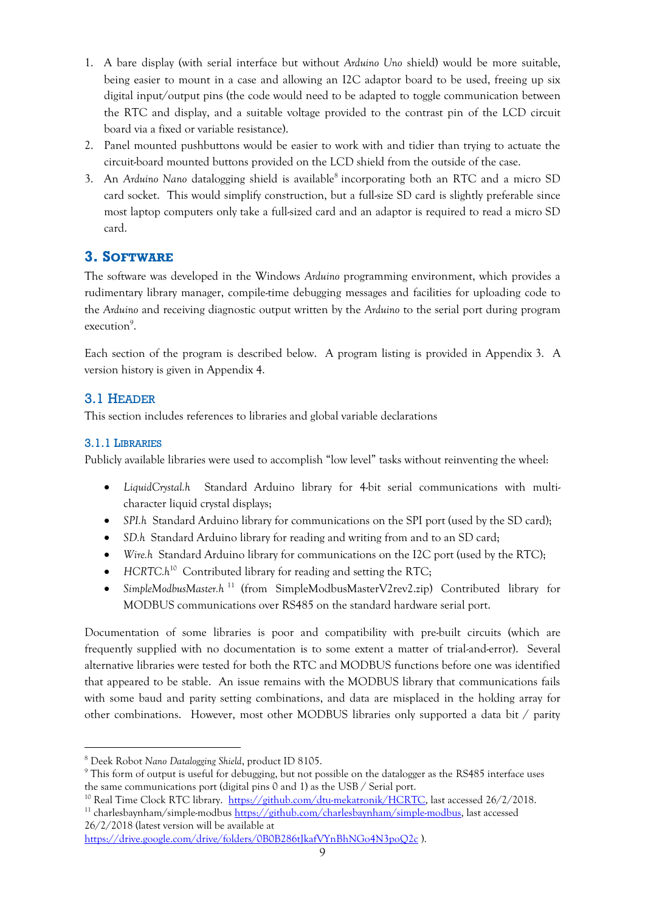- 1. A bare display (with serial interface but without *Arduino Uno* shield) would be more suitable, being easier to mount in a case and allowing an I2C adaptor board to be used, freeing up six digital input/output pins (the code would need to be adapted to toggle communication between the RTC and display, and a suitable voltage provided to the contrast pin of the LCD circuit board via a fixed or variable resistance).
- 2. Panel mounted pushbuttons would be easier to work with and tidier than trying to actuate the circuit-board mounted buttons provided on the LCD shield from the outside of the case.
- 3. An Arduino Nano datalogging shield is available<sup>8</sup> incorporating both an RTC and a micro SD card socket. This would simplify construction, but a full-size SD card is slightly preferable since most laptop computers only take a full-sized card and an adaptor is required to read a micro SD card.

#### <span id="page-8-0"></span>**3. SOFTWARE**

The software was developed in the Windows *Arduino* programming environment, which provides a rudimentary library manager, compile-time debugging messages and facilities for uploading code to the *Arduino* and receiving diagnostic output written by the *Arduino* to the serial port during program execution<sup>9</sup>.

Each section of the program is described below. A program listing is provided in Appendix 3. A version history is given in Appendix 4.

#### <span id="page-8-1"></span>3.1 HEADER

This section includes references to libraries and global variable declarations

#### <span id="page-8-2"></span>3.1.1 LIBRARIES

<u>.</u>

Publicly available libraries were used to accomplish "low level" tasks without reinventing the wheel:

- *LiquidCrystal.h* Standard Arduino library for 4-bit serial communications with multicharacter liquid crystal displays;
- *SPI.h* Standard Arduino library for communications on the SPI port (used by the SD card);
- *SD.h* Standard Arduino library for reading and writing from and to an SD card;
- *Wire.h* Standard Arduino library for communications on the I2C port (used by the RTC);
- HCRTC.h<sup>10</sup> Contributed library for reading and setting the RTC;
- *SimpleModbusMaster.h* <sup>11</sup> (from SimpleModbusMasterV2rev2.zip) Contributed library for MODBUS communications over RS485 on the standard hardware serial port.

Documentation of some libraries is poor and compatibility with pre-built circuits (which are frequently supplied with no documentation is to some extent a matter of trial-and-error). Several alternative libraries were tested for both the RTC and MODBUS functions before one was identified that appeared to be stable. An issue remains with the MODBUS library that communications fails with some baud and parity setting combinations, and data are misplaced in the holding array for other combinations. However, most other MODBUS libraries only supported a data bit / parity

<sup>8</sup> Deek Robot *Nano Datalogging Shield*, product ID 8105.

<sup>&</sup>lt;sup>9</sup> This form of output is useful for debugging, but not possible on the datalogger as the RS485 interface uses the same communications port (digital pins 0 and 1) as the USB / Serial port.

<sup>10</sup> Real Time Clock RTC library. [https://github.com/dtu-mekatronik/HCRTC,](https://github.com/dtu-mekatronik/HCRTC) last accessed 26/2/2018.

<sup>11</sup> charlesbaynham/simple-modbus [https://github.com/charlesbaynham/simple-modbus,](https://github.com/charlesbaynham/simple-modbus) last accessed 26/2/2018 (latest version will be available at

<https://drive.google.com/drive/folders/0B0B286tJkafVYnBhNGo4N3poQ2c> ).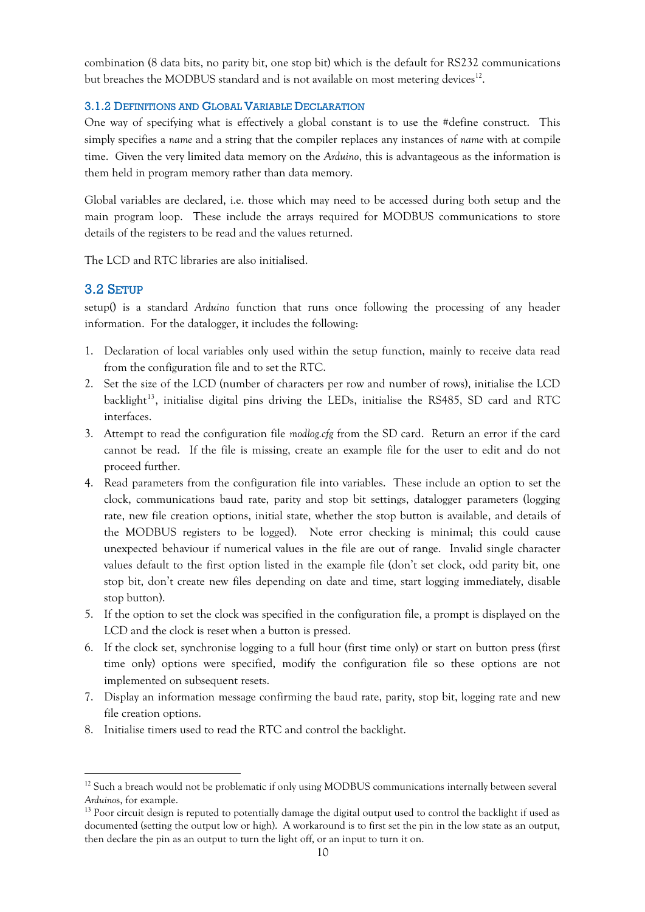combination (8 data bits, no parity bit, one stop bit) which is the default for RS232 communications but breaches the MODBUS standard and is not available on most metering devices<sup>12</sup>.

#### <span id="page-9-0"></span>3.1.2 DEFINITIONS AND GLOBAL VARIABLE DECLARATION

One way of specifying what is effectively a global constant is to use the #define construct. This simply specifies a *name* and a string that the compiler replaces any instances of *name* with at compile time. Given the very limited data memory on the *Arduino*, this is advantageous as the information is them held in program memory rather than data memory.

Global variables are declared, i.e. those which may need to be accessed during both setup and the main program loop. These include the arrays required for MODBUS communications to store details of the registers to be read and the values returned.

The LCD and RTC libraries are also initialised.

#### <span id="page-9-1"></span>3.2 SETUP

<u>.</u>

setup() is a standard *Arduino* function that runs once following the processing of any header information. For the datalogger, it includes the following:

- 1. Declaration of local variables only used within the setup function, mainly to receive data read from the configuration file and to set the RTC.
- 2. Set the size of the LCD (number of characters per row and number of rows), initialise the LCD backlight<sup>13</sup>, initialise digital pins driving the LEDs, initialise the RS485, SD card and RTC interfaces.
- 3. Attempt to read the configuration file *modlog.cfg* from the SD card. Return an error if the card cannot be read. If the file is missing, create an example file for the user to edit and do not proceed further.
- 4. Read parameters from the configuration file into variables. These include an option to set the clock, communications baud rate, parity and stop bit settings, datalogger parameters (logging rate, new file creation options, initial state, whether the stop button is available, and details of the MODBUS registers to be logged). Note error checking is minimal; this could cause unexpected behaviour if numerical values in the file are out of range. Invalid single character values default to the first option listed in the example file (don't set clock, odd parity bit, one stop bit, don't create new files depending on date and time, start logging immediately, disable stop button).
- 5. If the option to set the clock was specified in the configuration file, a prompt is displayed on the LCD and the clock is reset when a button is pressed.
- 6. If the clock set, synchronise logging to a full hour (first time only) or start on button press (first time only) options were specified, modify the configuration file so these options are not implemented on subsequent resets.
- 7. Display an information message confirming the baud rate, parity, stop bit, logging rate and new file creation options.
- 8. Initialise timers used to read the RTC and control the backlight.

<sup>&</sup>lt;sup>12</sup> Such a breach would not be problematic if only using MODBUS communications internally between several *Arduino*s, for example.

<sup>&</sup>lt;sup>13</sup> Poor circuit design is reputed to potentially damage the digital output used to control the backlight if used as documented (setting the output low or high). A workaround is to first set the pin in the low state as an output, then declare the pin as an output to turn the light off, or an input to turn it on.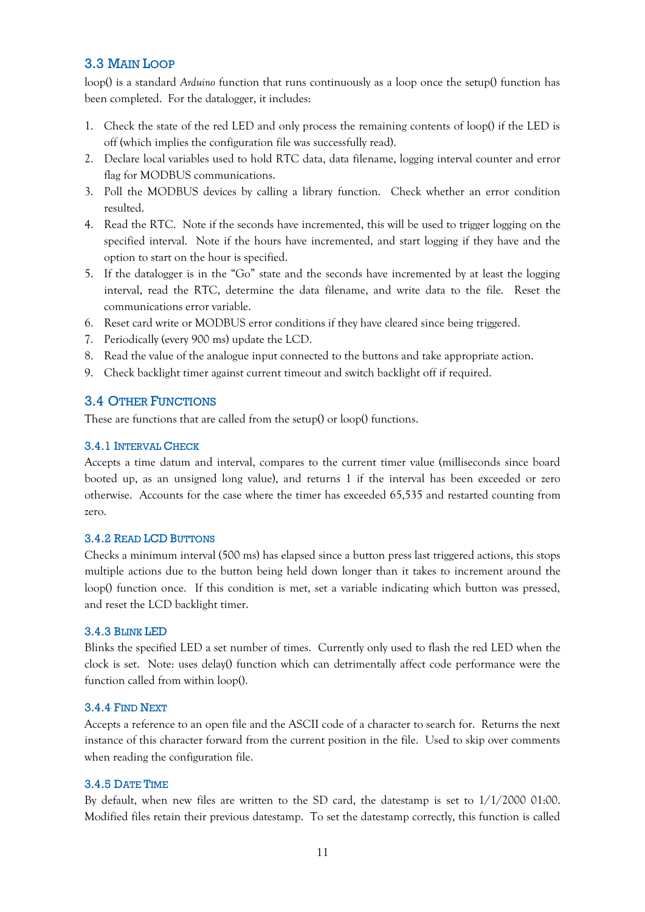#### <span id="page-10-0"></span>3.3 MAIN LOOP

loop() is a standard *Arduino* function that runs continuously as a loop once the setup() function has been completed. For the datalogger, it includes:

- 1. Check the state of the red LED and only process the remaining contents of loop() if the LED is off (which implies the configuration file was successfully read).
- 2. Declare local variables used to hold RTC data, data filename, logging interval counter and error flag for MODBUS communications.
- 3. Poll the MODBUS devices by calling a library function. Check whether an error condition resulted.
- 4. Read the RTC. Note if the seconds have incremented, this will be used to trigger logging on the specified interval. Note if the hours have incremented, and start logging if they have and the option to start on the hour is specified.
- 5. If the datalogger is in the "Go" state and the seconds have incremented by at least the logging interval, read the RTC, determine the data filename, and write data to the file. Reset the communications error variable.
- 6. Reset card write or MODBUS error conditions if they have cleared since being triggered.
- 7. Periodically (every 900 ms) update the LCD.
- 8. Read the value of the analogue input connected to the buttons and take appropriate action.
- 9. Check backlight timer against current timeout and switch backlight off if required.

#### <span id="page-10-1"></span>3.4 OTHER FUNCTIONS

These are functions that are called from the setup() or loop() functions.

#### <span id="page-10-2"></span>3.4.1 INTERVAL CHECK

Accepts a time datum and interval, compares to the current timer value (milliseconds since board booted up, as an unsigned long value), and returns 1 if the interval has been exceeded or zero otherwise. Accounts for the case where the timer has exceeded 65,535 and restarted counting from zero.

#### <span id="page-10-3"></span>3.4.2 READ LCD BUTTONS

Checks a minimum interval (500 ms) has elapsed since a button press last triggered actions, this stops multiple actions due to the button being held down longer than it takes to increment around the loop() function once. If this condition is met, set a variable indicating which button was pressed, and reset the LCD backlight timer.

#### <span id="page-10-4"></span>3.4.3 BLINK LED

Blinks the specified LED a set number of times. Currently only used to flash the red LED when the clock is set. Note: uses delay() function which can detrimentally affect code performance were the function called from within loop().

#### <span id="page-10-5"></span>3.4.4 FIND NEXT

Accepts a reference to an open file and the ASCII code of a character to search for. Returns the next instance of this character forward from the current position in the file. Used to skip over comments when reading the configuration file.

#### <span id="page-10-6"></span>3.4.5 DATE TIME

By default, when new files are written to the SD card, the datestamp is set to 1/1/2000 01:00. Modified files retain their previous datestamp. To set the datestamp correctly, this function is called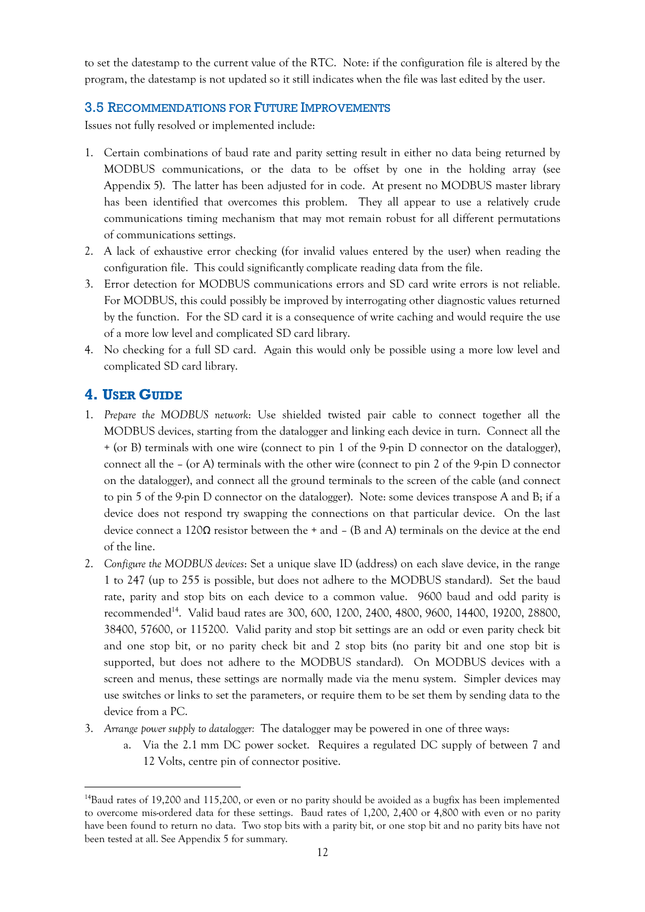to set the datestamp to the current value of the RTC. Note: if the configuration file is altered by the program, the datestamp is not updated so it still indicates when the file was last edited by the user.

#### <span id="page-11-0"></span>3.5 RECOMMENDATIONS FOR FUTURE IMPROVEMENTS

Issues not fully resolved or implemented include:

- 1. Certain combinations of baud rate and parity setting result in either no data being returned by MODBUS communications, or the data to be offset by one in the holding array (see Appendix 5). The latter has been adjusted for in code. At present no MODBUS master library has been identified that overcomes this problem. They all appear to use a relatively crude communications timing mechanism that may mot remain robust for all different permutations of communications settings.
- 2. A lack of exhaustive error checking (for invalid values entered by the user) when reading the configuration file. This could significantly complicate reading data from the file.
- 3. Error detection for MODBUS communications errors and SD card write errors is not reliable. For MODBUS, this could possibly be improved by interrogating other diagnostic values returned by the function. For the SD card it is a consequence of write caching and would require the use of a more low level and complicated SD card library.
- 4. No checking for a full SD card. Again this would only be possible using a more low level and complicated SD card library.

#### <span id="page-11-1"></span>**4. USER GUIDE**

<u>.</u>

- 1. *Prepare the MODBUS network*: Use shielded twisted pair cable to connect together all the MODBUS devices, starting from the datalogger and linking each device in turn. Connect all the + (or B) terminals with one wire (connect to pin 1 of the 9-pin D connector on the datalogger), connect all the – (or A) terminals with the other wire (connect to pin 2 of the 9-pin D connector on the datalogger), and connect all the ground terminals to the screen of the cable (and connect to pin 5 of the 9-pin D connector on the datalogger). Note: some devices transpose A and B; if a device does not respond try swapping the connections on that particular device. On the last device connect a 120 $\Omega$  resistor between the + and – (B and A) terminals on the device at the end of the line.
- 2. *Configure the MODBUS devices*: Set a unique slave ID (address) on each slave device, in the range 1 to 247 (up to 255 is possible, but does not adhere to the MODBUS standard). Set the baud rate, parity and stop bits on each device to a common value. 9600 baud and odd parity is recommended<sup>14</sup>. Valid baud rates are 300, 600, 1200, 2400, 4800, 9600, 14400, 19200, 28800, 38400, 57600, or 115200. Valid parity and stop bit settings are an odd or even parity check bit and one stop bit, or no parity check bit and 2 stop bits (no parity bit and one stop bit is supported, but does not adhere to the MODBUS standard). On MODBUS devices with a screen and menus, these settings are normally made via the menu system. Simpler devices may use switches or links to set the parameters, or require them to be set them by sending data to the device from a PC.
- 3. *Arrange power supply to datalogger:* The datalogger may be powered in one of three ways:
	- a. Via the 2.1 mm DC power socket. Requires a regulated DC supply of between 7 and 12 Volts, centre pin of connector positive.

<sup>&</sup>lt;sup>14</sup>Baud rates of 19,200 and 115,200, or even or no parity should be avoided as a bugfix has been implemented to overcome mis-ordered data for these settings. Baud rates of 1,200, 2,400 or 4,800 with even or no parity have been found to return no data. Two stop bits with a parity bit, or one stop bit and no parity bits have not been tested at all. See Appendix 5 for summary.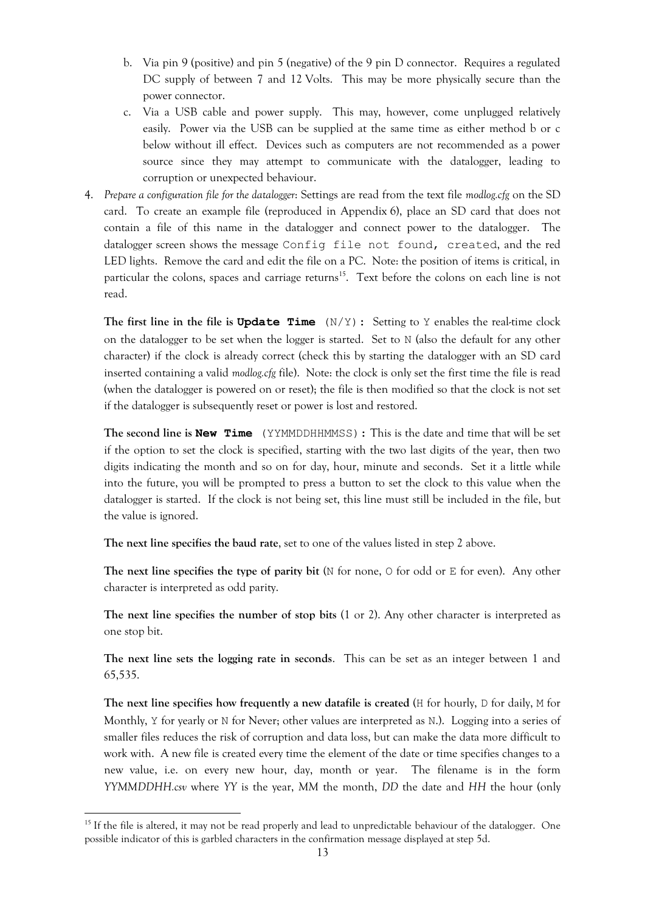- b. Via pin 9 (positive) and pin 5 (negative) of the 9 pin D connector. Requires a regulated DC supply of between 7 and 12 Volts. This may be more physically secure than the power connector.
- c. Via a USB cable and power supply. This may, however, come unplugged relatively easily. Power via the USB can be supplied at the same time as either method b or c below without ill effect. Devices such as computers are not recommended as a power source since they may attempt to communicate with the datalogger, leading to corruption or unexpected behaviour.
- 4. *Prepare a configuration file for the datalogger*: Settings are read from the text file *modlog.cfg* on the SD card. To create an example file (reproduced in Appendix 6), place an SD card that does not contain a file of this name in the datalogger and connect power to the datalogger. The datalogger screen shows the message Config file not found, created, and the red LED lights. Remove the card and edit the file on a PC. Note: the position of items is critical, in particular the colons, spaces and carriage returns<sup>15</sup>. Text before the colons on each line is not read.

**The first line in the file is <b>Update Time**  $(N/Y)$ : Setting to Y enables the real-time clock on the datalogger to be set when the logger is started. Set to N (also the default for any other character) if the clock is already correct (check this by starting the datalogger with an SD card inserted containing a valid *modlog.cfg* file). Note: the clock is only set the first time the file is read (when the datalogger is powered on or reset); the file is then modified so that the clock is not set if the datalogger is subsequently reset or power is lost and restored.

**The second line is New Time** (YYMMDDHHMMSS): This is the date and time that will be set if the option to set the clock is specified, starting with the two last digits of the year, then two digits indicating the month and so on for day, hour, minute and seconds. Set it a little while into the future, you will be prompted to press a button to set the clock to this value when the datalogger is started. If the clock is not being set, this line must still be included in the file, but the value is ignored.

**The next line specifies the baud rate**, set to one of the values listed in step 2 above.

**The next line specifies the type of parity bit** (N for none, O for odd or E for even). Any other character is interpreted as odd parity.

**The next line specifies the number of stop bits** (1 or 2). Any other character is interpreted as one stop bit.

**The next line sets the logging rate in seconds**. This can be set as an integer between 1 and 65,535.

**The next line specifies how frequently a new datafile is created** (H for hourly, D for daily, M for Monthly, Y for yearly or N for Never; other values are interpreted as N.). Logging into a series of smaller files reduces the risk of corruption and data loss, but can make the data more difficult to work with. A new file is created every time the element of the date or time specifies changes to a new value, i.e. on every new hour, day, month or year. The filename is in the form *YYMMDDHH.csv* where *YY* is the year, *MM* the month, *DD* the date and *HH* the hour (only

<u>.</u>

<sup>&</sup>lt;sup>15</sup> If the file is altered, it may not be read properly and lead to unpredictable behaviour of the datalogger. One possible indicator of this is garbled characters in the confirmation message displayed at step 5d.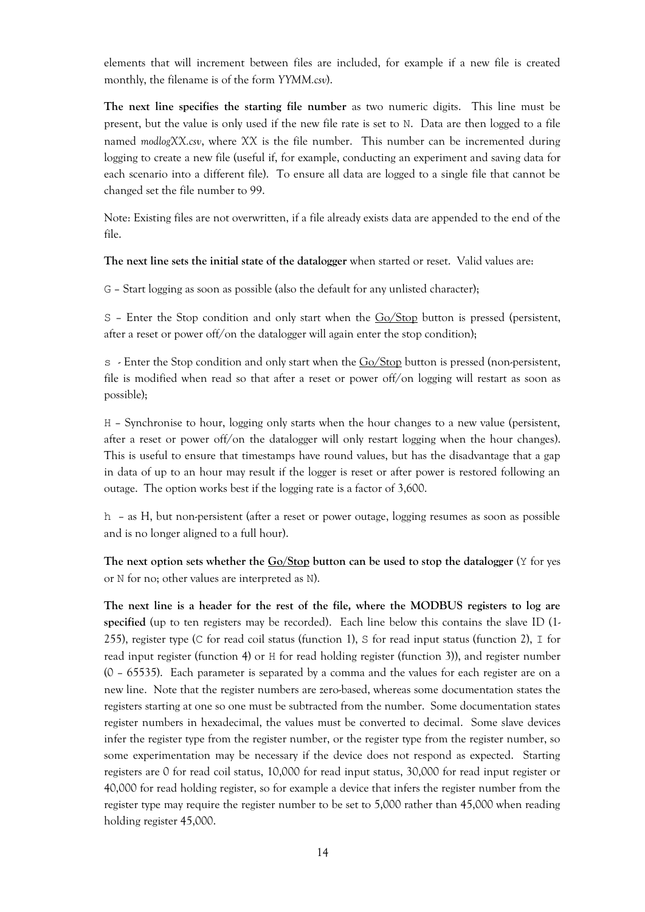elements that will increment between files are included, for example if a new file is created monthly, the filename is of the form *YYMM.csv*).

**The next line specifies the starting file number** as two numeric digits. This line must be present, but the value is only used if the new file rate is set to N. Data are then logged to a file named *modlogXX.csv*, where *XX* is the file number. This number can be incremented during logging to create a new file (useful if, for example, conducting an experiment and saving data for each scenario into a different file). To ensure all data are logged to a single file that cannot be changed set the file number to 99.

Note: Existing files are not overwritten, if a file already exists data are appended to the end of the file.

**The next line sets the initial state of the datalogger** when started or reset. Valid values are:

G – Start logging as soon as possible (also the default for any unlisted character);

S – Enter the Stop condition and only start when the Go/Stop button is pressed (persistent, after a reset or power off/on the datalogger will again enter the stop condition);

s - Enter the Stop condition and only start when the Go/Stop button is pressed (non-persistent, file is modified when read so that after a reset or power off/on logging will restart as soon as possible);

H – Synchronise to hour, logging only starts when the hour changes to a new value (persistent, after a reset or power off/on the datalogger will only restart logging when the hour changes). This is useful to ensure that timestamps have round values, but has the disadvantage that a gap in data of up to an hour may result if the logger is reset or after power is restored following an outage. The option works best if the logging rate is a factor of 3,600.

h – as H, but non-persistent (after a reset or power outage, logging resumes as soon as possible and is no longer aligned to a full hour).

**The next option sets whether the Go/Stop button can be used to stop the datalogger** (Y for yes or N for no; other values are interpreted as N).

**The next line is a header for the rest of the file, where the MODBUS registers to log are specified** (up to ten registers may be recorded). Each line below this contains the slave ID (1- 255), register type (C for read coil status (function 1), S for read input status (function 2), I for read input register (function 4) or H for read holding register (function 3)), and register number (0 – 65535). Each parameter is separated by a comma and the values for each register are on a new line. Note that the register numbers are zero-based, whereas some documentation states the registers starting at one so one must be subtracted from the number. Some documentation states register numbers in hexadecimal, the values must be converted to decimal. Some slave devices infer the register type from the register number, or the register type from the register number, so some experimentation may be necessary if the device does not respond as expected. Starting registers are 0 for read coil status, 10,000 for read input status, 30,000 for read input register or 40,000 for read holding register, so for example a device that infers the register number from the register type may require the register number to be set to 5,000 rather than 45,000 when reading holding register 45,000.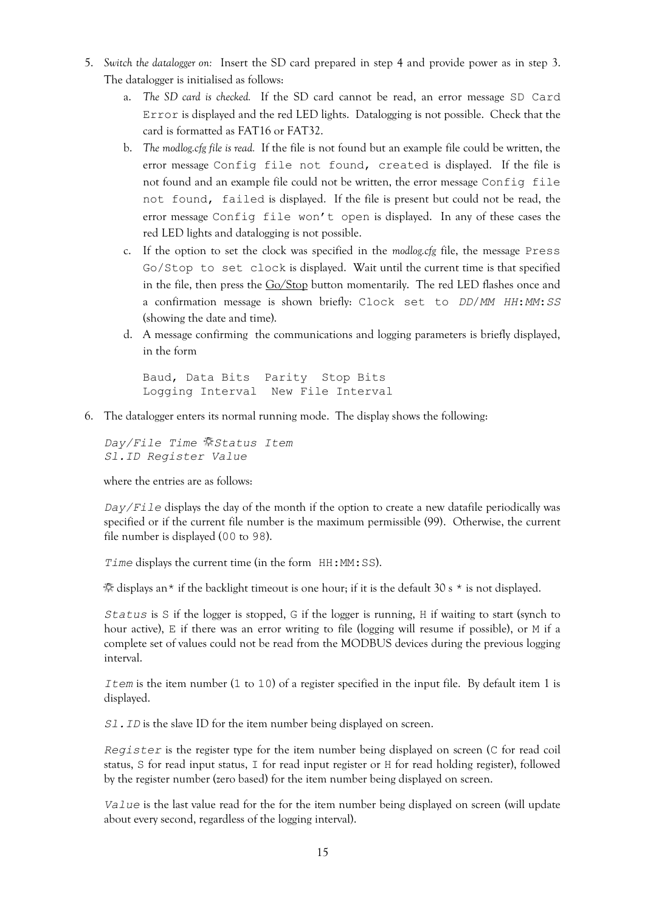- 5. *Switch the datalogger on:* Insert the SD card prepared in step 4 and provide power as in step 3. The datalogger is initialised as follows:
	- a. *The SD card is checked.* If the SD card cannot be read, an error message SD Card Error is displayed and the red LED lights. Datalogging is not possible. Check that the card is formatted as FAT16 or FAT32.
	- b. *The modlog.cfg file is read.* If the file is not found but an example file could be written, the error message Config file not found, created is displayed. If the file is not found and an example file could not be written, the error message Config file not found, failed is displayed. If the file is present but could not be read, the error message Config file won't open is displayed. In any of these cases the red LED lights and datalogging is not possible.
	- c. If the option to set the clock was specified in the *modlog.cfg* file, the message Press Go/Stop to set clock is displayed. Wait until the current time is that specified in the file, then press the  $Go/Stop$  button momentarily. The red LED flashes once and a confirmation message is shown briefly: Clock set to *DD*/*MM HH*:*MM*:*SS* (showing the date and time).
	- d. A message confirming the communications and logging parameters is briefly displayed, in the form

Baud, Data Bits Parity Stop Bits Logging Interval New File Interval

6. The datalogger enters its normal running mode. The display shows the following:

*Day/File Time Status Item Sl.ID Register Value*

where the entries are as follows:

*Day/File* displays the day of the month if the option to create a new datafile periodically was specified or if the current file number is the maximum permissible (99). Otherwise, the current file number is displayed (00 to 98).

*Time* displays the current time (in the form HH:MM:SS).

 $\Re$  displays an\* if the backlight timeout is one hour; if it is the default 30 s \* is not displayed.

*Status* is S if the logger is stopped, G if the logger is running, H if waiting to start (synch to hour active), E if there was an error writing to file (logging will resume if possible), or M if a complete set of values could not be read from the MODBUS devices during the previous logging interval.

*Item* is the item number (1 to 10) of a register specified in the input file. By default item 1 is displayed.

*Sl.ID* is the slave ID for the item number being displayed on screen.

*Register* is the register type for the item number being displayed on screen (C for read coil status, S for read input status, I for read input register or H for read holding register), followed by the register number (zero based) for the item number being displayed on screen.

*Value* is the last value read for the for the item number being displayed on screen (will update about every second, regardless of the logging interval).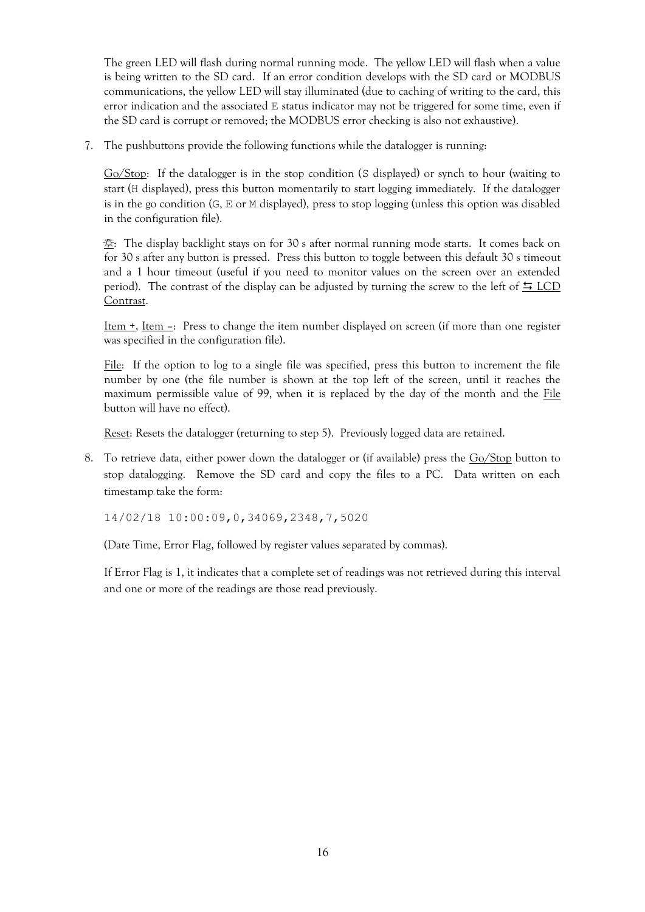The green LED will flash during normal running mode. The yellow LED will flash when a value is being written to the SD card. If an error condition develops with the SD card or MODBUS communications, the yellow LED will stay illuminated (due to caching of writing to the card, this error indication and the associated  $E$  status indicator may not be triggered for some time, even if the SD card is corrupt or removed; the MODBUS error checking is also not exhaustive).

7. The pushbuttons provide the following functions while the datalogger is running:

Go/Stop: If the datalogger is in the stop condition (S displayed) or synch to hour (waiting to start (H displayed), press this button momentarily to start logging immediately. If the datalogger is in the go condition (G, E or M displayed), press to stop logging (unless this option was disabled in the configuration file).

: The display backlight stays on for 30 s after normal running mode starts. It comes back on for 30 s after any button is pressed. Press this button to toggle between this default 30 s timeout and a 1 hour timeout (useful if you need to monitor values on the screen over an extended period). The contrast of the display can be adjusted by turning the screw to the left of  $\leq$  LCD Contrast.

Item +, Item –: Press to change the item number displayed on screen (if more than one register was specified in the configuration file).

File: If the option to log to a single file was specified, press this button to increment the file number by one (the file number is shown at the top left of the screen, until it reaches the maximum permissible value of 99, when it is replaced by the day of the month and the File button will have no effect).

Reset: Resets the datalogger (returning to step 5). Previously logged data are retained.

8. To retrieve data, either power down the datalogger or (if available) press the Go/Stop button to stop datalogging. Remove the SD card and copy the files to a PC. Data written on each timestamp take the form:

14/02/18 10:00:09,0,34069,2348,7,5020

(Date Time, Error Flag, followed by register values separated by commas).

If Error Flag is 1, it indicates that a complete set of readings was not retrieved during this interval and one or more of the readings are those read previously.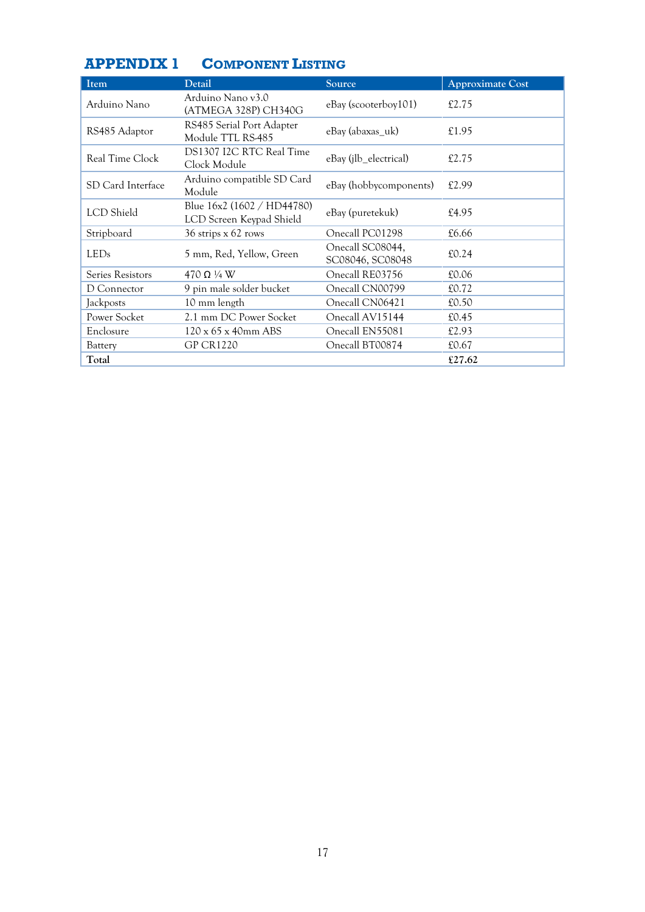## <span id="page-16-0"></span>**APPENDIX 1 COMPONENT LISTING**

| Item              | Detail                                                 | Source                               | <b>Approximate Cost</b> |
|-------------------|--------------------------------------------------------|--------------------------------------|-------------------------|
| Arduino Nano      | Arduino Nano v3.0<br>(ATMEGA 328P) CH340G              | eBay (scooterboy101)                 | £2.75                   |
| RS485 Adaptor     | RS485 Serial Port Adapter<br>Module TTL RS-485         | eBay (abaxas_uk)                     | £1.95                   |
| Real Time Clock   | DS1307 I2C RTC Real Time<br>Clock Module               | eBay (jlb_electrical)                | £2.75                   |
| SD Card Interface | Arduino compatible SD Card<br>Module                   | eBay (hobbycomponents)               | £2.99                   |
| LCD Shield        | Blue 16x2 (1602 / HD44780)<br>LCD Screen Keypad Shield | eBay (puretekuk)                     | £4.95                   |
| Stripboard        | $36$ strips x 62 rows                                  | Onecall PC01298                      | £6.66                   |
| LEDs              | 5 mm, Red, Yellow, Green                               | Onecall SC08044,<br>SC08046, SC08048 | £0.24                   |
| Series Resistors  | 470 $\Omega$ ¼ W                                       | Onecall RE03756                      | £0.06                   |
| D Connector       | 9 pin male solder bucket                               | Onecall CN00799                      | £0.72                   |
| Jackposts         | 10 mm length                                           | Onecall CN06421                      | £0.50                   |
| Power Socket      | 2.1 mm DC Power Socket                                 | Onecall AV15144                      | £0.45                   |
| Enclosure         | $120 \times 65 \times 40$ mm ABS                       | Onecall EN55081                      | £2.93                   |
| Battery           | <b>GP CR1220</b>                                       | Onecall BT00874                      | £0.67                   |
| Total             |                                                        |                                      | £27.62                  |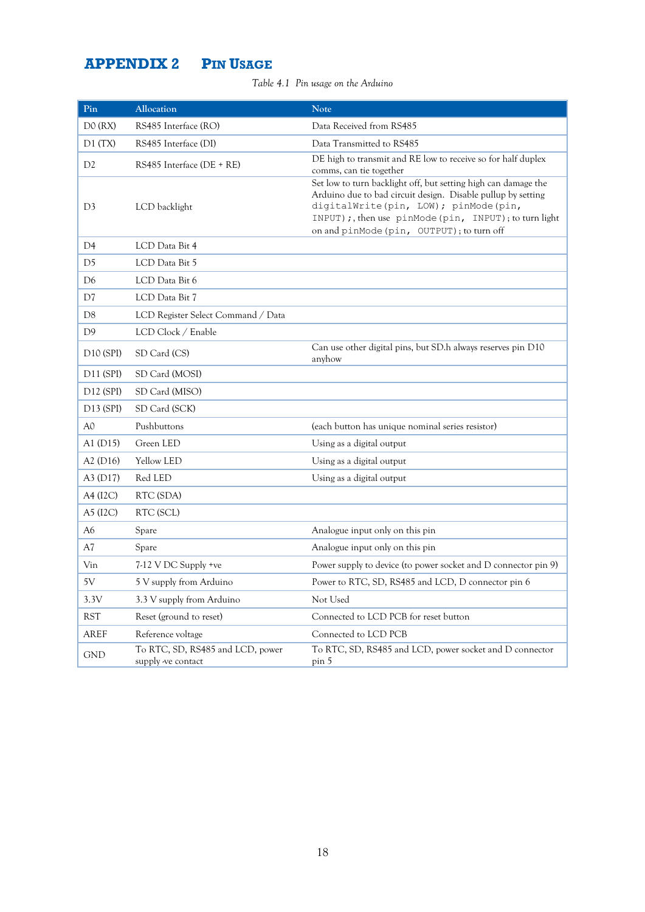# <span id="page-17-0"></span>**APPENDIX 2 PIN USAGE**

*Table 4.1 Pin usage on the Arduino*

| Pin                   | Allocation                                            | <b>Note</b>                                                                                                                                                                                                                                                                   |
|-----------------------|-------------------------------------------------------|-------------------------------------------------------------------------------------------------------------------------------------------------------------------------------------------------------------------------------------------------------------------------------|
| DO(RX)                | RS485 Interface (RO)                                  | Data Received from RS485                                                                                                                                                                                                                                                      |
| D1(TX)                | RS485 Interface (DI)                                  | Data Transmitted to RS485                                                                                                                                                                                                                                                     |
| D2                    | RS485 Interface (DE + RE)                             | DE high to transmit and RE low to receive so for half duplex<br>comms, can tie together                                                                                                                                                                                       |
| D <sub>3</sub>        | LCD backlight                                         | Set low to turn backlight off, but setting high can damage the<br>Arduino due to bad circuit design. Disable pullup by setting<br>digitalWrite(pin, LOW); pinMode(pin,<br>INPUT) ;, then use pinMode (pin, INPUT); to turn light<br>on and pinMode (pin, OUTPUT); to turn off |
| D4                    | LCD Data Bit 4                                        |                                                                                                                                                                                                                                                                               |
| D <sub>5</sub>        | LCD Data Bit 5                                        |                                                                                                                                                                                                                                                                               |
| D <sub>6</sub>        | LCD Data Bit 6                                        |                                                                                                                                                                                                                                                                               |
| D <sub>7</sub>        | LCD Data Bit 7                                        |                                                                                                                                                                                                                                                                               |
| D <sub>8</sub>        | LCD Register Select Command / Data                    |                                                                                                                                                                                                                                                                               |
| D <sub>9</sub>        | LCD Clock / Enable                                    |                                                                                                                                                                                                                                                                               |
| D <sub>10</sub> (SPI) | SD Card (CS)                                          | Can use other digital pins, but SD.h always reserves pin D10<br>anyhow                                                                                                                                                                                                        |
| D <sub>11</sub> (SPI) | SD Card (MOSI)                                        |                                                                                                                                                                                                                                                                               |
| D <sub>12</sub> (SPI) | SD Card (MISO)                                        |                                                                                                                                                                                                                                                                               |
| D13 (SPI)             | SD Card (SCK)                                         |                                                                                                                                                                                                                                                                               |
| A0                    | Pushbuttons                                           | (each button has unique nominal series resistor)                                                                                                                                                                                                                              |
| A1 (D15)              | Green LED                                             | Using as a digital output                                                                                                                                                                                                                                                     |
| A2 (D16)              | Yellow LED                                            | Using as a digital output                                                                                                                                                                                                                                                     |
| A3(D17)               | Red LED                                               | Using as a digital output                                                                                                                                                                                                                                                     |
| A4 (I2C)              | RTC (SDA)                                             |                                                                                                                                                                                                                                                                               |
| A5 (I2C)              | RTC (SCL)                                             |                                                                                                                                                                                                                                                                               |
| A <sub>6</sub>        | Spare                                                 | Analogue input only on this pin                                                                                                                                                                                                                                               |
| A7                    | Spare                                                 | Analogue input only on this pin                                                                                                                                                                                                                                               |
| Vin                   | 7-12 V DC Supply +ve                                  | Power supply to device (to power socket and D connector pin 9)                                                                                                                                                                                                                |
| 5V                    | 5 V supply from Arduino                               | Power to RTC, SD, RS485 and LCD, D connector pin 6                                                                                                                                                                                                                            |
| 3.3V                  | 3.3 V supply from Arduino                             | Not Used                                                                                                                                                                                                                                                                      |
| <b>RST</b>            | Reset (ground to reset)                               | Connected to LCD PCB for reset button                                                                                                                                                                                                                                         |
| AREF                  | Reference voltage                                     | Connected to LCD PCB                                                                                                                                                                                                                                                          |
| <b>GND</b>            | To RTC, SD, RS485 and LCD, power<br>supply ve contact | To RTC, SD, RS485 and LCD, power socket and D connector<br>pin 5                                                                                                                                                                                                              |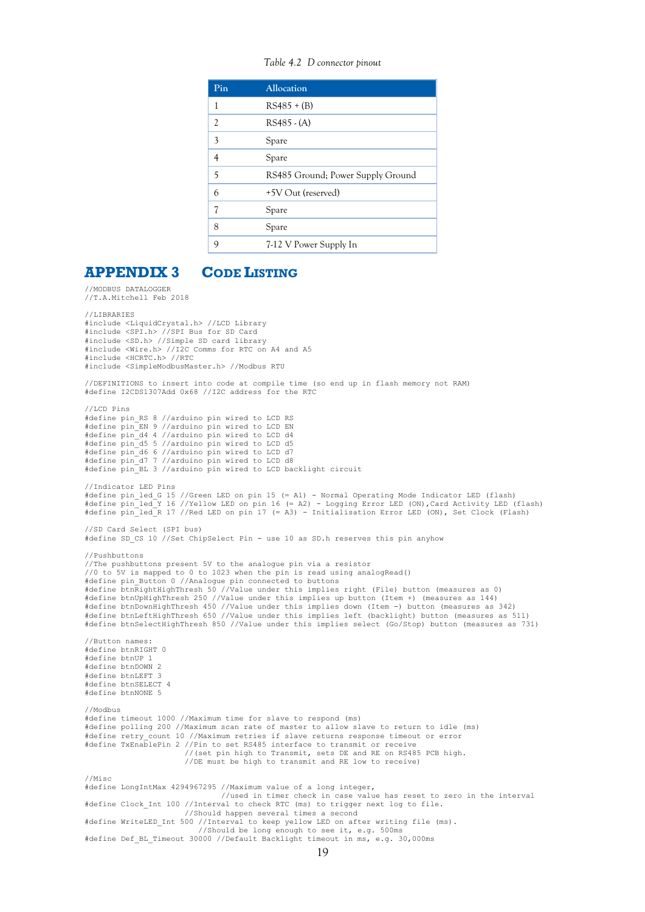*Table 4.2 D connector pinout*

| Pin            | Allocation                        |
|----------------|-----------------------------------|
| 1              | $RS485 + (B)$                     |
| $\overline{c}$ | $RS485 - (A)$                     |
| 3              | Spare                             |
| 4              | Spare                             |
| 5              | RS485 Ground; Power Supply Ground |
| 6              | +5V Out (reserved)                |
| 7              | Spare                             |
| 8              | Spare                             |
| 9              | 7-12 V Power Supply In            |

#### <span id="page-18-0"></span>**APPENDIX 3 CODE LISTING**

//MODBUS DATALOGGER //T.A.Mitchell Feb 2018 //LIBRARIES #include <LiquidCrystal.h> //LCD Library #include <SPI.h> //SPI Bus for SD Card #include <SD.h> //Simple SD card library #include <Wire.h> //I2C Comms for RTC on A4 and A5 #include <HCRTC.h> //RTC #include <SimpleModbusMaster.h> //Modbus RTU //DEFINITIONS to insert into code at compile time (so end up in flash memory not RAM) #define I2CDS1307Add 0x68 //I2C address for the RTC //LCD Pins #define pin\_RS 8 //arduino pin wired to LCD RS #define pin\_EN 9 //arduino pin wired to LCD EN #define pin\_d4 4 //arduino pin wired to LCD d4 #define pin\_d5 5 //arduino pin wired to LCD d5 #define pin\_d6 6 //arduino pin wired to LCD d7 #define pin\_d7 7 //arduino pin wired to LCD d8 #define pin\_BL 3 //arduino pin wired to LCD backlight circuit //Indicator LED Pins #define pin\_led\_G 15 //Green LED on pin 15 (= A1) - Normal Operating Mode Indicator LED (flash) #define pin\_led\_Y 16 //Yellow LED on pin 16 (= A2) - Logging Error LED (ON),Card Activity LED (flash) #define pin\_led\_R 17 //Red LED on pin 17 (= A3) - Initialisation Error LED (ON), Set Clock (Flash) //SD Card Select (SPI bus) #define SD\_CS 10 //Set ChipSelect Pin - use 10 as SD.h reserves this pin anyhow //Pushbuttons //The pushbuttons present 5V to the analogue pin via a resistor //0 to 5V is mapped to 0 to 1023 when the pin is read using analogRead() #define pin\_Button 0 //Analogue pin connected to buttons #define btnRightHighThresh 50 //Value under this implies right (File) button (measures as 0) #define btnUpHighThresh 250 //Value under this implies up button (Item +) (measures as 144) #define btnDownHighThresh 450 //Value under this implies down (Item -) button (measures as 342)<br>#define btnLeftHighThresh 650 //Value under this implies left (backlight) button (measures as 511)<br>#define btnSelectHighThresh //Button names: #define btnRIGHT 0 #define btnUP 1 #define btnDOWN 2 #define btnLEFT 3 #define btnSELECT 4 #define btnNONE 5 //Modbus #define timeout 1000 //Maximum time for slave to respond (ms) #define polling 200 //Maximum scan rate of master to allow slave to return to idle (ms) #define retry count 10 //Maximum retries if slave returns response timeout or error #define TxEnablePin 2 //Pin to set RS485 interface to transmit or receive //(set pin high to Transmit, sets DE and RE on RS485 PCB high. //DE must be high to transmit and RE low to receive) //Misc #define LongIntMax 4294967295 //Maximum value of a long integer, //used in timer check in case value has reset to zero in the interval #define Clock\_Int 100 //Interval to check RTC (ms) to trigger next log to file. //Should happen several times a second #define WriteLED\_Int 500 //Interval to keep yellow LED on after writing file (ms). //Should be long enough to see it, e.g. 500ms

#define Def BL Timeout 30000 //Default Backlight timeout in ms, e.g. 30,000ms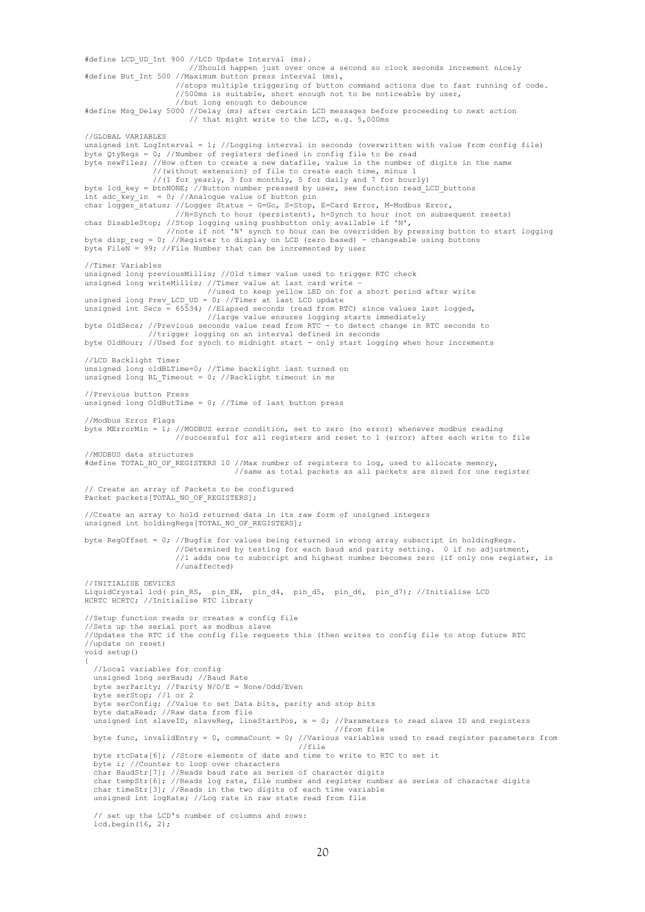#define LCD\_UD\_Int 900 //LCD Update Interval (ms). //Should happen just over once a second so clock seconds increment nicely #define But\_Int 500 //Maximum button press interval (ms), //stops multiple triggering of button command actions due to fast running of code. //500ms is suitable, short enough not to be noticeable by user, //but long enough to debounce #define Msg\_Delay 5000 //Delay (ms) after certain LCD messages before proceeding to next action // that might write to the LCD, e.g. 5,000ms //GLOBAL VARIABLES unsigned int LogInterval = 1; //Logging interval in seconds (overwritten with value from config file) byte QtyRegs = 0; //Number of registers defined in config file to be read byte newFiles; //How often to create a new datafile, value is the number of digits in the name //(without extension) of file to create each time, minus 1 //(1 for yearly, 3 for monthly, 5 for daily and 7 for hourly) byte lcd key = btnNONE; //Button number pressed by user, see function read LCD buttons int adc  $\overline{key}$  in = 0; //Analogue value of button pin char logger\_status; //Logger Status - G=Go, S=Stop, E=Card Error, M-Modbus Error, //H=Synch to hour (persistent), h=Synch to hour (not on subsequent resets) char DisableStop; //Stop logging using pushbutton only available if 'N', //note if not 'N' synch to hour can be overridden by pressing button to start logging byte disp\_reg = 0; //Register to display on LCD (zero based) - changeable using buttons byte FileN = 99; //File Number that can be incremented by user //Timer Variables unsigned long previousMillis; //Old timer value used to trigger RTC check unsigned long writeMillis; //Timer value at last card write //used to keep yellow LED on for a short period after write unsigned long Prev\_LCD\_UD = 0; //Timer at last LCD update unsigned int Secs = 65534; //Elapsed seconds (read from RTC) since values last logged, //large value ensures logging starts immediately byte OldSecs; //Previous seconds value read from RTC - to detect change in RTC seconds to //trigger logging on an interval defined in seconds byte OldHour; //Used for synch to midnight start - only start logging when hour increments //LCD Backlight Timer unsigned long oldBLTime=0; //Time backlight last turned on<br>unsigned long BL Timeout = 0; //Backlight timeout in ms //Previous button Press unsigned long OldButTime =  $0$ ; //Time of last button press //Modbus Error Flags byte MErrorMin = 1; //MODBUS error condition, set to zero (no error) whenever modbus reading //successful for all registers and reset to 1 (error) after each write to file //MODBUS data structures #define TOTAL NO OF REGISTERS 10 //Max number of registers to log, used to allocate memory, //same as total packets as all packets are sized for one register // Create an array of Packets to be configured Packet packets[TOTAL\_NO\_OF\_REGISTERS]; //Create an array to hold returned data in its raw form of unsigned integers unsigned int holdingRegs[TOTAL\_NO\_OF\_REGISTERS]; byte RegOffset = 0; //Bugfix for values being returned in wrong array subscript in holdingRegs. //Determined by testing for each baud and parity setting. 0 if no adjustment, //1 adds one to subscript and highest number becomes zero (if only one register, is //unaffected) //INITIALISE DEVICES LiquidCrystal lcd( pin\_RS, pin\_EN, pin\_d4, pin\_d5, pin\_d6, pin\_d7); //Initialise LCD HCRTC HCRTC; //Initialise RTC library //Setup function reads or creates a config file //Sets up the serial port as modbus slave //Updates the RTC if the config file requests this (then writes to config file to stop future RTC //update on reset) void setup() { //Local variables for config unsigned long serBaud; //Baud Rate byte serParity; //Parity N/O/E = None/Odd/Even byte serStop; //1 or 2 byte serConfig; //Value to set Data bits, parity and stop bits byte dataRead; //Raw data from file unsigned int slaveID, slaveReg, lineStartPos,  $x = 0$ ; //Parameters to read slave ID and registers<br>//from file //from file byte func, invalidEntry = 0, commaCount = 0; //Various variables used to read register parameters from //file byte rtcData[6]; //Store elements of date and time to write to RTC to set it byte i; //Counter to loop over characters char BaudStr[7]; //Reads baud rate as series of character digits char tempStr[6]; //Reads log rate, file number and register number as series of character digits char timeStr[3]; //Reads in the two digits of each time variable unsigned int logRate; //Log rate in raw state read from file // set up the LCD's number of columns and rows: lcd.begin(16, 2);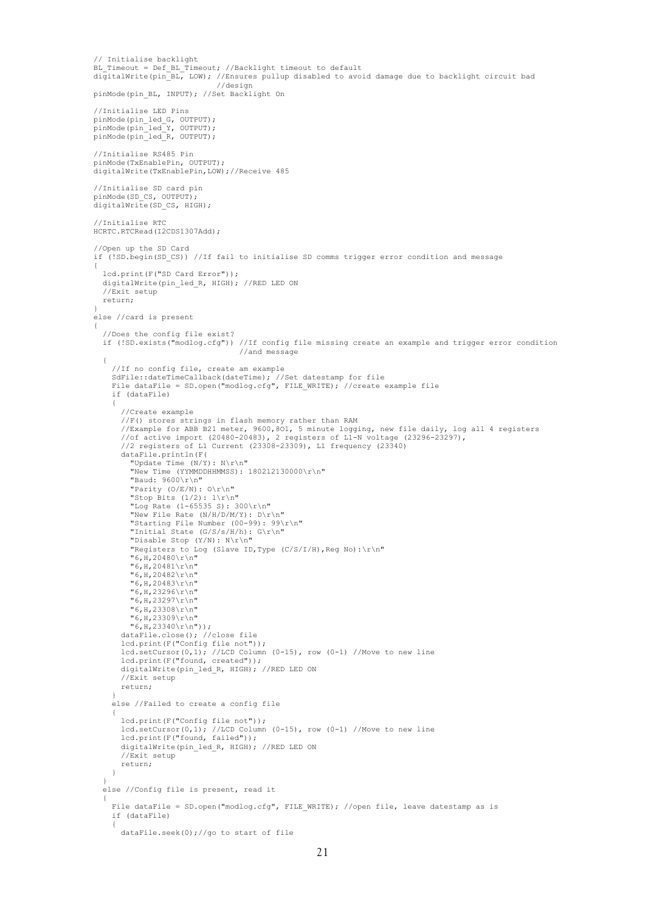```
 // Initialise backlight
BL Timeout = Def BL Timeout; //Backlight timeout to default
 digitalWrite(pin_BL, LOW); //Ensures pullup disabled to avoid damage due to backlight circuit bad
 //design
 pinMode(pin_BL, INPUT); //Set Backlight On
  //Initialise LED Pins
 pinMode(pin_led_G, OUTPUT);
 pinMode(pin_led_Y, OUTPUT);
 pinMode(pin_led_R, OUTPUT);
  //Initialise RS485 Pin 
  pinMode(TxEnablePin, OUTPUT);
  digitalWrite(TxEnablePin,LOW);//Receive 485
   //Initialise SD card pin
 pinMode(SD_CS, OUTPUT);
  digitalWrite(SD_CS, HIGH);
   //Initialise RTC
 HCRTC.RTCRead(I2CDS1307Add);
   //Open up the SD Card
  if (!SD.begin(SD_CS)) //If fail to initialise SD comms trigger error condition and message
   {
     lcd.print(F("SD Card Error"));
    digitalWrite(pin led R, HIGH); //RED LED ON
     //Exit setup
     return;
\rightarrow else //card is present
\overline{\phantom{a}} //Does the config file exist?
     if (!SD.exists("modlog.cfg")) //If config file missing create an example and trigger error condition
                                        //and message
\left\{\begin{array}{ccc} \end{array}\right\} //If no config file, create am example
 SdFile::dateTimeCallback(dateTime); //Set datestamp for file
 File dataFile = SD.open("modlog.cfg", FILE_WRITE); //create example file
       if (dataFile) 
 {
         //Create example
          //F() stores strings in flash memory rather than RAM
          //Example for ABB B21 meter, 9600,8O1, 5 minute logging, new file daily, log all 4 registers 
 //of active import (20480-20483), 2 registers of L1-N voltage (23296-23297), 
 //2 registers of L1 Current (23308-23309), L1 frequency (23340)
          dataFile.println(F(
             "Update Time (N/Y): N\r\n"
            "New Time (YYMMDDHHMMSS): 180212130000\r\n"
            "Baud: 9600\r\n"
            "Parity (O/E/N): O\r\n"
 "Stop Bits (1/2): 1\r\n"
 "Log Rate (1-65535 S): 300\r\n"
            "New File Rate (N/H/D/M/Y): D\r\n"
            "Starting File Number (00-99): 99\r\n"
            "Initial State (G/S/s/H/h): G\r\n"
            "Disable Stop (Y/N): N\r\n"
            "Registers to Log (Slave ID,Type (C/S/I/H),Reg No):\r\n"
            "6,H,20480\r\n"
           "6, H, 20481\rm\ "6,H,20482\r\n"
            "6,H,20483\r\n"
            "6,H,23296\r\n"
            "6,H,23297\r\n"
           "6, H, 23308 \r\n\pi" "6,H,23309\r\n"
           "6.H.23340\rm\r\rm\r\n dataFile.close(); //close file 
          lcd.print(F("Config file not"));
         lcd.setCursor(0,1); //LCD Column (0-15), row (0-1) //Move to new line
 lcd.print(F("found, created"));
 digitalWrite(pin_led_R, HIGH); //RED LED ON
          //Exit setup
          return;
 } 
      .<br>else //Failed to create a config file
 {
         lcd.print(F("Config file not"));
         lcd.setCursor(0,1); //LCD Column (0-15), row (0-1) //Move to new line
          lcd.print(F("found, failed"));
         digitalWrite(pin_led_R, HIGH); //RED LED ON
         //Exit setup
         return;
       } 
 }
     else //Config file is present, read it
\left\{\begin{array}{ccc} \end{array}\right\}File dataFile = SD.open("modlog.cfg", FILE WRITE); //open file, leave datestamp as is
       if (dataFile) 
 {
          dataFile.seek(0);//go to start of file
```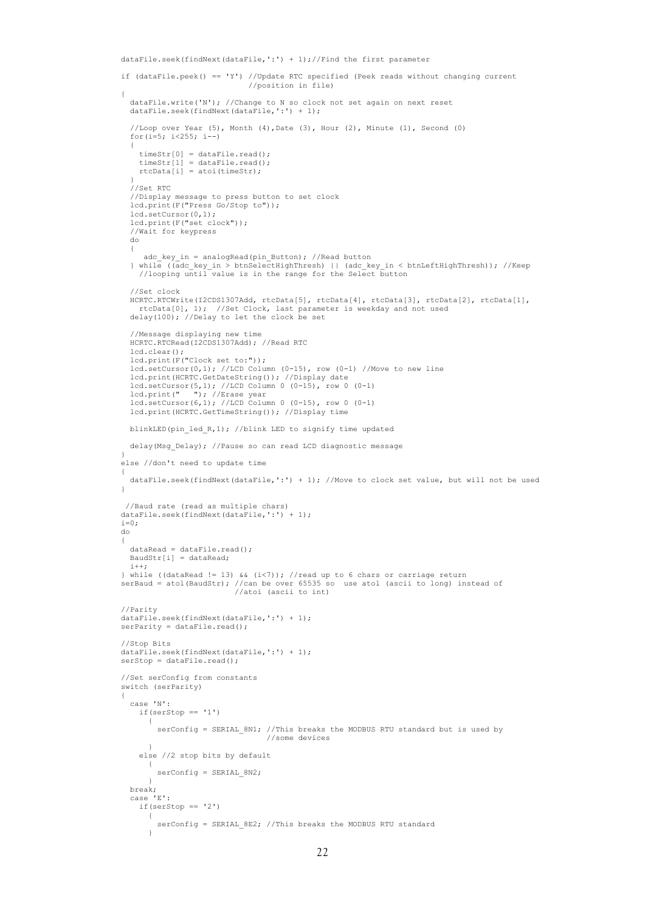```
dataFile.seek(findNext(dataFile,':') + 1);//Find the first parameter
```

```
if (dataFile.peek() == 'Y') //Update RTC specified (Peek reads without changing current
                                       //position in file)
         {
           dataFile.write('N'); //Change to N so clock not set again on next reset
          dataFile.seek(findNext(dataFile,':') + 1);
           //Loop over Year (5), Month (4),Date (3), Hour (2), Minute (1), Second (0)
          for(i=5; i<255; i--)
           {
            timeStr[0] = dataFile read();
            timeStr[1] = dataFile.read();rtcData[i] = atoi(timeStr); }
          .<br>//Set RTC
           //Display message to press button to set clock
           lcd.print(F("Press Go/Stop to"));
 lcd.setCursor(0,1);
 lcd.print(F("set clock"));
           //Wait for keypress
           do
\{adc key in = analogRead(pin Button); //Read button
 } while ((adc_key_in > btnSelectHighThresh) || (adc_key_in < btnLeftHighThresh)); //Keep
 //looping until value is in the range for the Select button
            //Set clock
           HCRTC.RTCWrite(I2CDS1307Add, rtcData[5], rtcData[4], rtcData[3], rtcData[2], rtcData[1],
            rtcData[0], 1); //Set Clock, last parameter is weekday and not used
          delay(100); //Delay to let the clock be set
           //Message displaying new time
           HCRTC.RTCRead(I2CDS1307Add); //Read RTC
           lcd.clear();
           lcd.print(F("Clock set to:"));
 lcd.setCursor(0,1); //LCD Column (0-15), row (0-1) //Move to new line
 lcd.print(HCRTC.GetDateString()); //Display date
           lcd.setCursor(5,1); //LCD Column 0 (0-15), row 0 (0-1)
 lcd.print(" "); //Erase year
 lcd.setCursor(6,1); //LCD Column 0 (0-15), row 0 (0-1)
          lcd.print(HCRTC.GetTimeString()); //Display time
           blinkLED(pin_led_R,1); //blink LED to signify time updated
          delay(Msg Delay); //Pause so can read LCD diagnostic message
 }
         else //don't need to update time
\left\{ \begin{array}{cc} 0 & 0 \\ 0 & 0 \end{array} \right\} dataFile.seek(findNext(dataFile,':') + 1); //Move to clock set value, but will not be used
         }
          //Baud rate (read as multiple chars)
         dataFile.seek(findNext(dataFile,':') + 1);
        i=0:
         do
         {
           dataRead = dataFile.read();
           BaudStr[i] = dataRead;
          i++;
         } while ((dataRead != 13) && (i<7)); //read up to 6 chars or carriage return
         serBaud = atol(BaudStr); //can be over 65535 so use atol (ascii to long) instead of 
                                   //atoi (ascii to int)
         //Parity
        dataFile.seek(findNext(dataFile,':') + 1);
        serParity = dataFile.read();
         //Stop Bits
        dataFile.seek(findNext(dataFile,':') + 1);
        serStop = dataFile.read();
         //Set serConfig from constants
         switch (serParity)
\left\{ \begin{array}{cc} 0 & 0 \\ 0 & 0 \end{array} \right\} case 'N':
            if(serStop == '1') {
                serConfig = SERIAL 8N1; //This breaks the MODBUS RTU standard but is used by
                                           //some devices
 }
             else //2 stop bits by default
\{serConfig = SERIAL 8N2;
 }
           break;
           case 'E':
            if(serStop == '2') {
                serConfig = SERIAL 8E2; //This breaks the MODBUS RTU standard
 }
```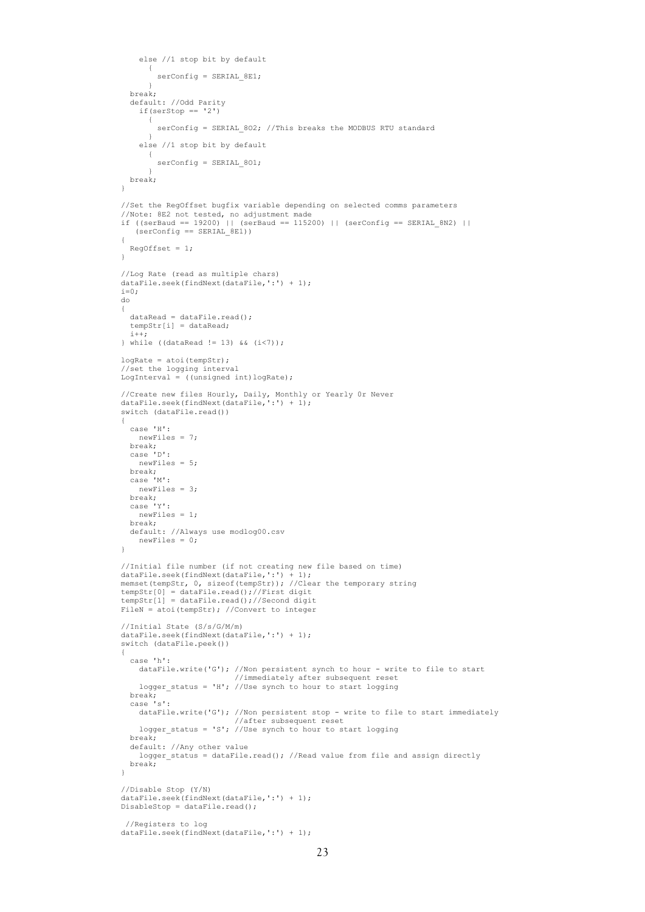```
 else //1 stop bit by default
 {
                   serConfig = SERIAL 8E1; }
             break;
             default: //Odd Parity
              if(serStop == '2')
 {
                   serConfig = SERIAL 802; //This breaks the MODBUS RTU standard
 }
               else //1 stop bit by default
\{serConfig = SERIAL 801;
 }
             break;
          }
          //Set the RegOffset bugfix variable depending on selected comms parameters
 //Note: 8E2 not tested, no adjustment made
 if ((serBaud == 19200) || (serBaud == 115200) || (serConfig == SERIAL_8N2) || 
              (serConfig == SERIAL_8E1))
\left\{ \begin{array}{cc} 0 & 0 & 0 \\ 0 & 0 & 0 \\ 0 & 0 & 0 \\ 0 & 0 & 0 \\ 0 & 0 & 0 \\ 0 & 0 & 0 \\ 0 & 0 & 0 \\ 0 & 0 & 0 \\ 0 & 0 & 0 \\ 0 & 0 & 0 \\ 0 & 0 & 0 \\ 0 & 0 & 0 \\ 0 & 0 & 0 & 0 \\ 0 & 0 & 0 & 0 \\ 0 & 0 & 0 & 0 \\ 0 & 0 & 0 & 0 & 0 \\ 0 & 0 & 0 & 0 & 0 \\ 0 & 0 & 0 & 0 & 0 \\ 0 & 0 & 0 & 0 & 0 \\ 0 & 0 RegOffset = 1;
         \overline{1} //Log Rate (read as multiple chars)
         dataFile.seek(findNext(dataFile,':') + 1);
          i=0;
          do
\left\{ \begin{array}{cc} 0 & 0 \\ 0 & 0 \end{array} \right\}dataRead = dataFile.read();<br>tempStr[i] = dataRead;
            i++; } while ((dataRead != 13) && (i<7));
         longRate = atoi(tempStr): //set the logging interval
 LogInterval = ((unsigned int)logRate); 
 //Create new files Hourly, Daily, Monthly or Yearly 0r Never
 dataFile.seek(findNext(dataFile,':') + 1);
          switch (dataFile.read())
\left\{ \begin{array}{cc} 0 & 0 \\ 0 & 0 \end{array} \right\} case 'H':
               newFiles = 7;
            break;
            case 'D':
               newFiles = 5;
            break;
            case 'M':
               newFiles = 3;
 break;
 case 'Y':
               newFiles = 1;
             break;
            default: //Always use modlog00.csv
         newFiles = 0; }
          //Initial file number (if not creating new file based on time)
 dataFile.seek(findNext(dataFile,':') + 1);
 memset(tempStr, 0, sizeof(tempStr)); //Clear the temporary string
 tempStr[0] = dataFile.read();//First digit
 tempStr[1] = dataFile.read();//Second digit
         FileN = atoi(tempStr); //Convert to integer
           //Initial State (S/s/G/M/m)
         dataFile.seek(findNext(dataFile,':') + 1);
          switch (dataFile.peek())
\left\{ \begin{array}{cc} 0 & 0 \\ 0 & 0 \end{array} \right\} case 'h':
               dataFile.write('G'); //Non persistent synch to hour - write to file to start 
                                          //immediately after subsequent reset 
              logger status = 'H'; //Use synch to hour to start logging
 break;
 case 's':
               dataFile.write('G'); //Non persistent stop - write to file to start immediately
                                           //after subsequent reset 
              logger status = 'S'; //Use synch to hour to start logging
             break;
             default: //Any other value
              logger_status = dataFile.read(); //Read value from file and assign directly
            break; 
 }
          //Disable Stop (Y/N)
         dataFile.seek(findNext(dataFile,':') + 1);
         DisableStop = dataFile.read(); //Registers to log
         dataFile.seek(findNext(dataFile,':') + 1);
```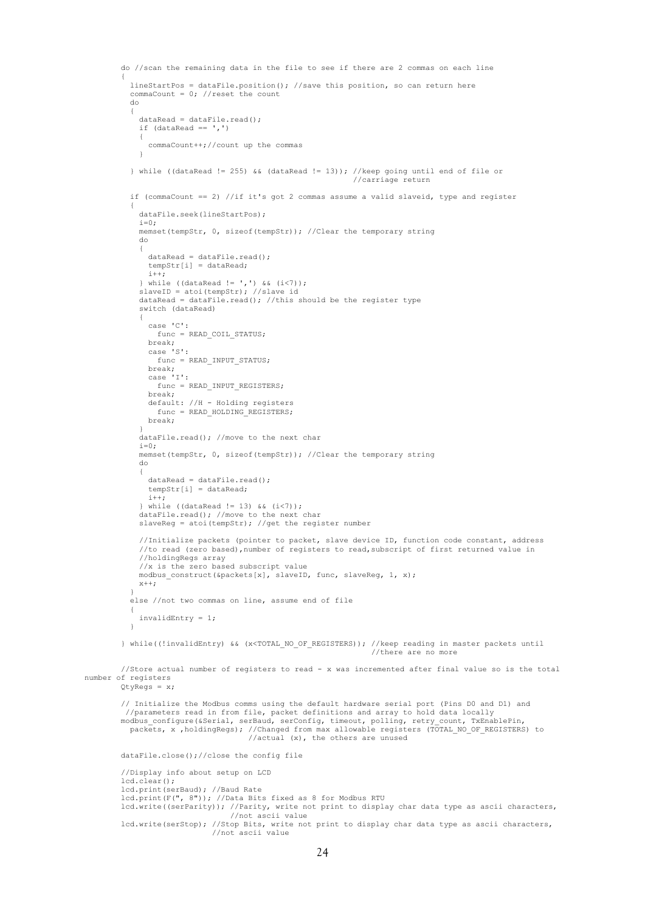```
 do //scan the remaining data in the file to see if there are 2 commas on each line
\left\{ \begin{array}{cc} 0 & 0 \\ 0 & 0 \end{array} \right\} lineStartPos = dataFile.position(); //save this position, so can return here
              commaCount = 0; //reset the count
               do
               {
                dataRead = dataFile.read();
                 if (dataRead == ',')\left\{ \begin{array}{ccc} 0 & 0 & 0 \\ 0 & 0 & 0 \\ 0 & 0 & 0 \\ 0 & 0 & 0 \\ 0 & 0 & 0 \\ 0 & 0 & 0 \\ 0 & 0 & 0 \\ 0 & 0 & 0 \\ 0 & 0 & 0 \\ 0 & 0 & 0 \\ 0 & 0 & 0 \\ 0 & 0 & 0 \\ 0 & 0 & 0 \\ 0 & 0 & 0 & 0 \\ 0 & 0 & 0 & 0 \\ 0 & 0 & 0 & 0 \\ 0 & 0 & 0 & 0 & 0 \\ 0 & 0 & 0 & 0 & 0 \\ 0 & 0 & 0 & 0 & 0 \\ 0 & 0 & 0 & 0commaCount++;//count up the commas
 }
 } while ((dataRead != 255) && (dataRead != 13)); //keep going until end of file or 
 //carriage return
              if (commaCount == 2) //if it's got 2 commas assume a valid slaveid, type and register
\{ dataFile.seek(lineStartPos);
                 i=0:
                  memset(tempStr, 0, sizeof(tempStr)); //Clear the temporary string
                  do
\left\{ \begin{array}{ccc} 0 & 0 & 0 \\ 0 & 0 & 0 \\ 0 & 0 & 0 \\ 0 & 0 & 0 \\ 0 & 0 & 0 \\ 0 & 0 & 0 \\ 0 & 0 & 0 \\ 0 & 0 & 0 \\ 0 & 0 & 0 \\ 0 & 0 & 0 \\ 0 & 0 & 0 \\ 0 & 0 & 0 \\ 0 & 0 & 0 \\ 0 & 0 & 0 & 0 \\ 0 & 0 & 0 & 0 \\ 0 & 0 & 0 & 0 \\ 0 & 0 & 0 & 0 & 0 \\ 0 & 0 & 0 & 0 & 0 \\ 0 & 0 & 0 & 0 & 0 \\ 0 & 0 & 0 & 0dataRead = dataFile read();
                    tempStr[i] = dataRead;
                    i++;
                  } while ((dataRead != ',') && (i<7));
                  slaveID = atoi(tempStr); //slave id
                 dataRead = dataFile.read(); //this should be the register type
                  switch (dataRead)
\left\{ \begin{array}{ccc} 0 & 0 & 0 \\ 0 & 0 & 0 \\ 0 & 0 & 0 \\ 0 & 0 & 0 \\ 0 & 0 & 0 \\ 0 & 0 & 0 \\ 0 & 0 & 0 \\ 0 & 0 & 0 \\ 0 & 0 & 0 \\ 0 & 0 & 0 \\ 0 & 0 & 0 \\ 0 & 0 & 0 \\ 0 & 0 & 0 \\ 0 & 0 & 0 & 0 \\ 0 & 0 & 0 & 0 \\ 0 & 0 & 0 & 0 \\ 0 & 0 & 0 & 0 & 0 \\ 0 & 0 & 0 & 0 & 0 \\ 0 & 0 & 0 & 0 & 0 \\ 0 & 0 & 0 & 0 case 'C':
                       func = READ_COIL_STATUS;
                    break;
                    case 'S':
                      func = READ_INPUT_STATUS;
 break;
 case 'I':
                      func = READ_INPUT_REGISTERS;
                    break;
                    default: //H - Holding registers
                     func = READ HOLDING REGISTERS;
                    break;
 }
                  dataFile.read(); //move to the next char
                 i=0:
                  memset(tempStr, 0, sizeof(tempStr)); //Clear the temporary string
                  do
\left\{ \begin{array}{ccc} 0 & 0 & 0 \\ 0 & 0 & 0 \\ 0 & 0 & 0 \\ 0 & 0 & 0 \\ 0 & 0 & 0 \\ 0 & 0 & 0 \\ 0 & 0 & 0 \\ 0 & 0 & 0 \\ 0 & 0 & 0 \\ 0 & 0 & 0 \\ 0 & 0 & 0 \\ 0 & 0 & 0 \\ 0 & 0 & 0 \\ 0 & 0 & 0 & 0 \\ 0 & 0 & 0 & 0 \\ 0 & 0 & 0 & 0 \\ 0 & 0 & 0 & 0 & 0 \\ 0 & 0 & 0 & 0 & 0 \\ 0 & 0 & 0 & 0 & 0 \\ 0 & 0 & 0 & 0dataRead = dataFile.read(); tempStr[i] = dataRead;
                    i + +;
                  } while ((dataRead != 13) && (i<7));
                 dataFile.read(); //move to the next char
                 slaveReg = atoi(tempStr); //get the register number
                  //Initialize packets (pointer to packet, slave device ID, function code constant, address
                  //to read (zero based),number of registers to read,subscript of first returned value in
                  //holdingRegs array
                  //x is the zero based subscript value
                 modbus construct(&packets[x], slaveID, func, slaveReg, 1, x);
                 x++; }
               else //not two commas on line, assume end of file
\{ invalidEntry = 1;
 }
            } while((!invalidEntry) && (x<TOTAL_NO_OF_REGISTERS)); //keep reading in master packets until
                                                                                           //there are no more
            //Store actual number of registers to read - x was incremented after final value so is the total 
number of registers
           QtyRegs = x; // Initialize the Modbus comms using the default hardware serial port (Pins D0 and D1) and
              //parameters read in from file, packet definitions and array to hold data locally
           modbus configure(&Serial, serBaud, serConfig, timeout, polling, retry count, TxEnablePin,
             packets, x , holdingRegs); //Changed from max allowable registers (TOTAL NO OF REGISTERS) to
                                                    //actual (x), the others are unused
            dataFile.close();//close the config file
             //Display info about setup on LCD
            lcd.clear();
            lcd.print(serBaud); //Baud Rate
            lcd.print(F(", 8")); //Data Bits fixed as 8 for Modbus RTU
            lcd.write((serParity)); //Parity, write not print to display char data type as ascii characters,
                                              //not ascii value
            lcd.write(serStop); //Stop Bits, write not print to display char data type as ascii characters,
```
//not ascii value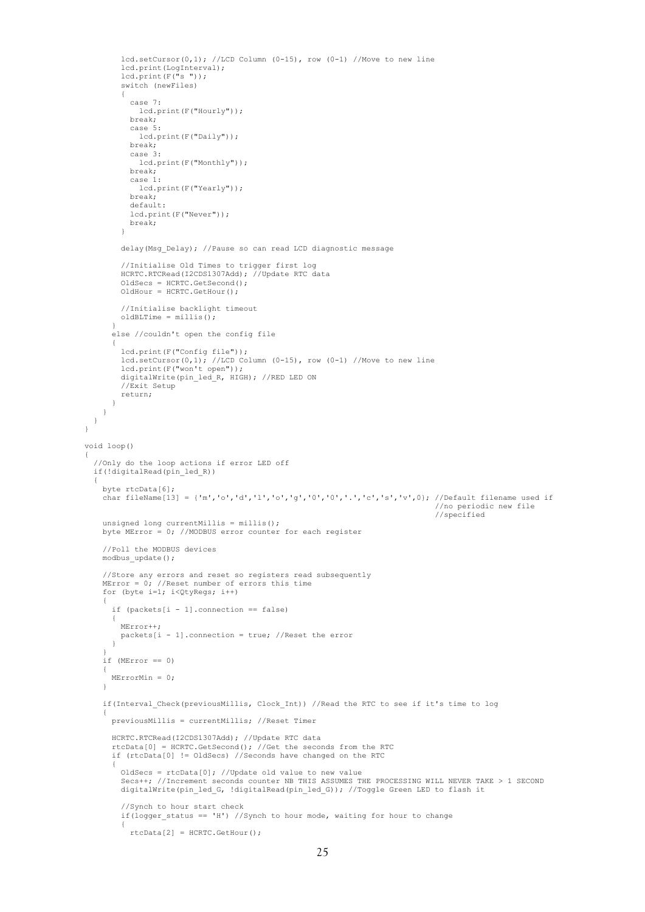```
 lcd.setCursor(0,1); //LCD Column (0-15), row (0-1) //Move to new line
 lcd.print(LogInterval);
lcd.print(F("s ")); switch (newFiles)
\left\{ \begin{array}{cc} 0 & 0 \\ 0 & 0 \end{array} \right\} case 7:
              lcd.print(F("Hourly"));
            break;
            case 5:
              lcd.print(F("Daily"));
            break;
            case 3:
              lcd.print(F("Monthly"));
            break;
            case 1:
              lcd.print(F("Yearly"));
            break;
            default:
            lcd.print(F("Never"));
            break;
          }
         delay(Msg Delay); //Pause so can read LCD diagnostic message
          //Initialise Old Times to trigger first log
          HCRTC.RTCRead(I2CDS1307Add); //Update RTC data
          OldSecs = HCRTC.GetSecond();
         OldHour = HCRTC.GetHour();
          //Initialise backlight timeout
         oldBLTime = millis();
        }
        else //couldn't open the config file
 {
          lcd.print(F("Config file"));
 lcd.setCursor(0,1); //LCD Column (0-15), row (0-1) //Move to new line
 lcd.print(F("won't open"));
         digitalWrite(pin led R, HIGH); //RED LED ON
          //Exit Setup
         return;
      \rightarrow }
  }
void loop()
   //Only do the loop actions if error LED off
   if(!digitalRead(pin_led_R))
\qquad \qquad byte rtcData[6];
    char fileName[13] = {'m','o','d','l','o','g','0','0','.','c','s','v',0}; //Default filename used if
                                                                                          //no periodic new file 
                                                                                          //specified
    unsigned long currentMillis = millis();
     byte MError = 0; //MODBUS error counter for each register
     //Poll the MODBUS devices
     modbus_update();
 //Store any errors and reset so registers read subsequently
 MError = 0; //Reset number of errors this time
     for (byte i=1; i<QtyRegs; i++) 
\left\{\begin{array}{ccc} \end{array}\right\}if (packets[i - 1].connection == false)
        {
          MError++;
         packets[i - 1].connection = true; //Reset the error
        }
 }
    if (MError == 0)
\left\{\begin{array}{ccc} \end{array}\right\} MErrorMin = 0; 
     }
     if(Interval_Check(previousMillis, Clock_Int)) //Read the RTC to see if it's time to log
\left\{\begin{array}{ccc} \end{array}\right\} previousMillis = currentMillis; //Reset Timer
       HCRTC.RTCRead(I2CDS1307Add); //Update RTC data
       rtcData[0] = HCRTC.GetSecond(); //Get the seconds from the RTC
        if (rtcData[0] != OldSecs) //Seconds have changed on the RTC
        {
          OldSecs = rtcData[0]; //Update old value to new value
          Secs++; //Increment seconds counter NB THIS ASSUMES THE PROCESSING WILL NEVER TAKE > 1 SECOND
          digitalWrite(pin_led_G, !digitalRead(pin_led_G)); //Toggle Green LED to flash it
          //Synch to hour start check
          if(logger_status == 'H') //Synch to hour mode, waiting for hour to change
          {
            rtcData[2] = HCRTC.GetHour();
```
}

{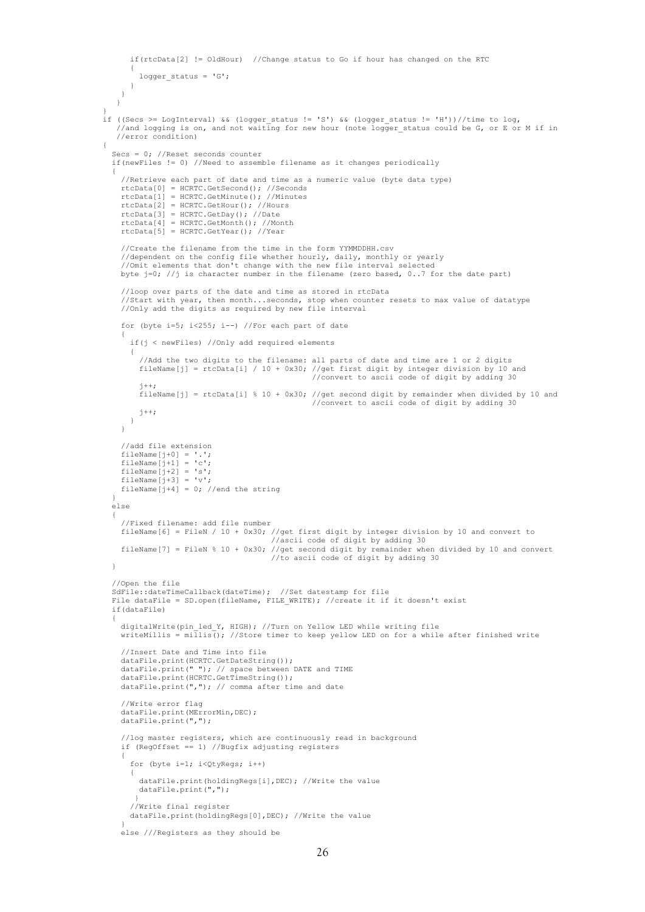```
 if(rtcData[2] != OldHour) //Change status to Go if hour has changed on the RTC
\{logger status = 'G';
             }
          }
         }
     if ((Secs >= LogInterval) && (logger_status != 'S') && (logger_status != 'H'))//time to log, 
         //and logging is on, and not waiting for new hour (note logger_status could be G, or E or M if in
         //error condition)
        Secs = 0; //Reset seconds counter
        if(newFiles != 0) //Need to assemble filename as it changes periodically
 {
          //Retrieve each part of date and time as a numeric value (byte data type)
 rtcData[0] = HCRTC.GetSecond(); //Seconds
 rtcData[1] = HCRTC.GetMinute(); //Minutes
          rtcData[2] = HCRTC.GetHour(); //Hours
 rtcData[3] = HCRTC.GetDay(); //Date
 rtcData[4] = HCRTC.GetMonth(); //Month
          rtcData[5] = HCRTC.GetYear(); //Year
           //Create the filename from the time in the form YYMMDDHH.csv
 //dependent on the config file whether hourly, daily, monthly or yearly
 //Omit elements that don't change with the new file interval selected
         byte j=0; /j is character number in the filename (zero based, 0..7 for the date part)
           //loop over parts of the date and time as stored in rtcData
           //Start with year, then month...seconds, stop when counter resets to max value of datatype
          //Only add the digits as required by new file interval
         for (byte i=5; i<255; i--) //For each part of date
\left\{ \begin{array}{ccc} 0 & 0 & 0 \\ 0 & 0 & 0 \\ 0 & 0 & 0 \\ 0 & 0 & 0 \\ 0 & 0 & 0 \\ 0 & 0 & 0 \\ 0 & 0 & 0 \\ 0 & 0 & 0 \\ 0 & 0 & 0 \\ 0 & 0 & 0 \\ 0 & 0 & 0 \\ 0 & 0 & 0 \\ 0 & 0 & 0 \\ 0 & 0 & 0 & 0 \\ 0 & 0 & 0 & 0 \\ 0 & 0 & 0 & 0 \\ 0 & 0 & 0 & 0 \\ 0 & 0 & 0 & 0 & 0 \\ 0 & 0 & 0 & 0 & 0 \\ 0 & 0 & 0 & 0 & 0 if(j < newFiles) //Only add required elements
\left\{ \begin{array}{ccc} 0 & 0 & 0 \\ 0 & 0 & 0 \\ 0 & 0 & 0 \\ 0 & 0 & 0 \\ 0 & 0 & 0 \\ 0 & 0 & 0 \\ 0 & 0 & 0 \\ 0 & 0 & 0 \\ 0 & 0 & 0 \\ 0 & 0 & 0 \\ 0 & 0 & 0 \\ 0 & 0 & 0 \\ 0 & 0 & 0 \\ 0 & 0 & 0 & 0 \\ 0 & 0 & 0 & 0 \\ 0 & 0 & 0 & 0 \\ 0 & 0 & 0 & 0 & 0 \\ 0 & 0 & 0 & 0 & 0 \\ 0 & 0 & 0 & 0 & 0 \\ 0 & 0 & 0 & 0 //Add the two digits to the filename: all parts of date and time are 1 or 2 digits
               fileName[j] = rtcData[i] / 10 + 0x30; //get first digit by integer division by 10 and 
                                                                 //convert to ascii code of digit by adding 30
j++; fileName[j] = rtcData[i] % 10 + 0x30; //get second digit by remainder when divided by 10 and
                                                                 //convert to ascii code of digit by adding 30
               j++;
            }
          }
          //add file extension
          fileName[j+0] = '.';
         fileName[j+1] = 'c';fileName\begin{bmatrix} 1+2 \\ 2 \end{bmatrix} = 's';
          fileName[j+3] = 'v';fileName[j+4] = 0; //end the string
 }
        else
 {
           //Fixed filename: add file number
          fileName[6] = FileN / 10 + 0x30; //get first digit by integer division by 10 and convert to
                                                    //ascii code of digit by adding 30
          fileName[7] = FileN % 10 + 0x30; //get second digit by remainder when divided by 10 and convert
                                                     //to ascii code of digit by adding 30
        }
        //Open the file 
        SdFile::dateTimeCallback(dateTime); //Set datestamp for file
       File dataFile = SD.open(fileName, FILE WRITE); //create it if it doesn't exist
        if(dataFile)
        {
         digitalWrite(pin led Y, HIGH); //Turn on Yellow LED while writing file
         writeMillis = minilis(); //Store timer to keep yellow LED on for a while after finished write
          //Insert Date and Time into file
         dataFile.print(HCRTC.GetDateString());
         dataFile.print(" "); // space between DATE and TIME
          dataFile.print(HCRTC.GetTimeString());
          dataFile.print(","); // comma after time and date
          //Write error flag
         dataFile.print(MErrorMin, DEC);
          dataFile.print(","); 
           //log master registers, which are continuously read in background 
          if (RegOffset == 1) //Bugfix adjusting registers
\left\{ \begin{array}{cc} 0 & 0 \\ 0 & 0 \end{array} \right\}for (byte i=1; i<OtyRegs; i++)
             {
               dataFile.print(holdingRegs[i],DEC); //Write the value
               dataFile.print(","); 
 }
             //Write final register 
             dataFile.print(holdingRegs[0],DEC); //Write the value
 }
          else ///Registers as they should be
```
}

 $\left\{\begin{array}{ccc} \end{array}\right\}$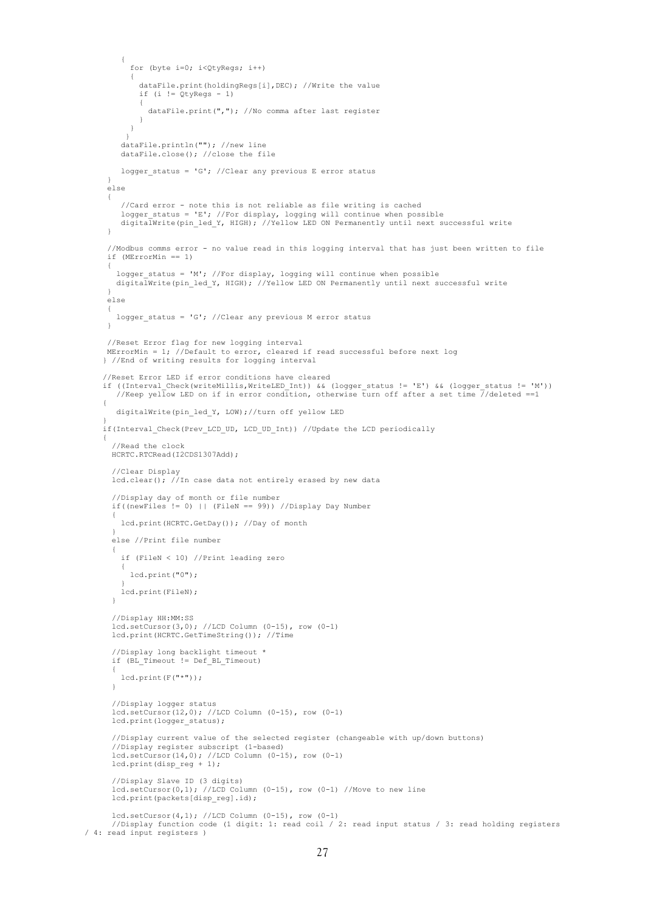```
 {
            for (byte i=0; i<OtyRegs; i++)
\{ dataFile.print(holdingRegs[i],DEC); //Write the value
              if (i := 0tyRegs - 1)
\{ dataFile.print(","); //No comma after last register
               }
          \rightarrow }
 dataFile.println(""); //new line
 dataFile.close(); //close the file
         logger status = 'G'; //Clear any previous E error status
 }
      else
\{ //Card error - note this is not reliable as file writing is cached
 logger_status = 'E'; //For display, logging will continue when possible
 digitalWrite(pin_led_Y, HIGH); //Yellow LED ON Permanently until next successful write
 }
       //Modbus comms error - no value read in this logging interval that has just been written to file
       if (MErrorMin == 1)
\{logger status = 'M'; //For display, logging will continue when possible
       digitalWrite(pin led Y, HIGH); //Yellow LED ON Permanently until next successful write
 }
       else
\{logger status = 'G'; //Clear any previous M error status
 }
       //Reset Error flag for new logging interval
 MErrorMin = 1; //Default to error, cleared if read successful before next log
 } //End of writing results for logging interval
      //Reset Error LED if error conditions have cleared
     if ((Interval_Check(writeMillis,WriteLED_Int)) && (logger_status != 'E') && (logger_status != 'M'))
        //Keep yellow LED on if in error condition, otherwise turn off after a set time \frac{7}{\text{delta}} ==1
      {
         digitalWrite(pin_led_Y, LOW);//turn off yellow LED
 }
    .<br>if(Interval Check(Prev LCD UD, LCD UD Int)) //Update the LCD periodically
     {
        //Read the clock 
        HCRTC.RTCRead(I2CDS1307Add);
        //Clear Display 
       lcd.clear(); //In case data not entirely erased by new data
 //Display day of month or file number
 if((newFiles != 0) || (FileN == 99)) //Display Day Number
 {
          lcd.print(HCRTC.GetDay()); //Day of month 
 }
        else //Print file number
 {
          if (FileN < 10) //Print leading zero
\left\{ \begin{array}{ccc} 0 & 0 & 0 \\ 0 & 0 & 0 \\ 0 & 0 & 0 \\ 0 & 0 & 0 \\ 0 & 0 & 0 \\ 0 & 0 & 0 \\ 0 & 0 & 0 \\ 0 & 0 & 0 \\ 0 & 0 & 0 \\ 0 & 0 & 0 \\ 0 & 0 & 0 \\ 0 & 0 & 0 \\ 0 & 0 & 0 \\ 0 & 0 & 0 & 0 \\ 0 & 0 & 0 & 0 \\ 0 & 0 & 0 & 0 \\ 0 & 0 & 0 & 0 \\ 0 & 0 & 0 & 0 & 0 \\ 0 & 0 & 0 & 0 & 0 \\ 0 & 0 & 0 & 0 & 0 lcd.print("0");
 }
          lcd.print(FileN);
        }
        //Display HH:MM:SS
        lcd.setCursor(3,0); //LCD Column (0-15), row (0-1)
        lcd.print(HCRTC.GetTimeString()); //Time
        //Display long backlight timeout *
        if (BL_Timeout != Def_BL_Timeout)
 {
          lcd.print(F("*"));
        }
        //Display logger status
        lcd.setCursor(12,0); //LCD Column (0-15), row (0-1)
        lcd.print(logger_status); 
        //Display current value of the selected register (changeable with up/down buttons)
 //Display register subscript (1-based)
 lcd.setCursor(14,0); //LCD Column (0-15), row (0-1)
 lcd.print(disp_reg + 1); 
        //Display Slave ID (3 digits)
        lcd.setCursor(0,1); //LCD Column (0-15), row (0-1) //Move to new line
        lcd.print(packets[disp_reg].id); 
       lcd.setCursor(4,1); //LCD Column (0-15), row (0-1)
        //Display function code (1 digit: 1: read coil / 2: read input status / 3: read holding registers 
/ 4: read input registers )
```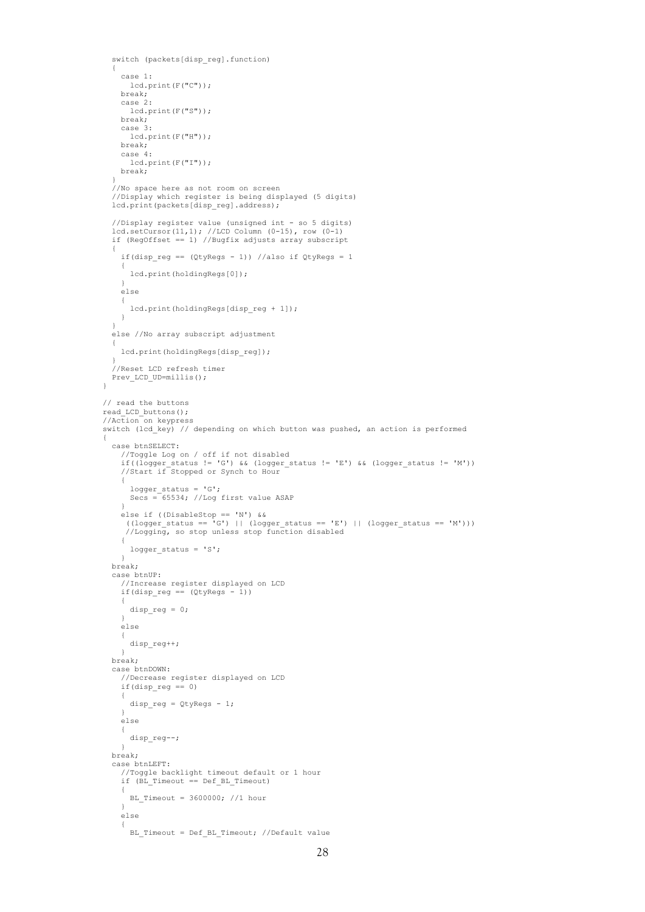```
 switch (packets[disp_reg].function)
 {
              case 1:
                 lcd.print(F("C"));
              break;
              case 2:
                 lcd.print(F("S"));
              break;
              case 3:
                 lcd.print(F("H"));
              break;
              case 4:
                lcd.print(F("I"));
             break;
 }
           //No space here as not room on screen
           //Display which register is being displayed (5 digits)
           lcd.print(packets[disp_reg].address);
           //Display register value (unsigned int - so 5 digits)
 lcd.setCursor(11,1); //LCD Column (0-15), row (0-1)
 if (RegOffset == 1) //Bugfix adjusts array subscript
           {
             if(disp reg == (QtyRegs - 1)) //also if QtyReqs = 1
              {
                 lcd.print(holdingRegs[0]);
 }
              else
\left\{ \begin{array}{cc} 0 & 0 \\ 0 & 0 \end{array} \right\} lcd.print(holdingRegs[disp_reg + 1]);
              }
           }
           else //No array subscript adjustment
 {
             lcd.print(holdingRegs[disp_reg]);
          \lambda //Reset LCD refresh timer
          Prev_LCD_UD=millis();
       }
       // read the buttons
       read_LCD_buttons();
       //Action on keypress
      switch (lcd key) // depending on which button was pushed, an action is performed
       { 
           case btnSELECT: 
 //Toggle Log on / off if not disabled
 if((logger_status != 'G') && (logger_status != 'E') && (logger_status != 'M')) 
 //Start if Stopped or Synch to Hour
\left\{ \begin{array}{cc} 0 & 0 \\ 0 & 0 \end{array} \right\} logger_status = 'G';
                Secs = 65534; // Log first value ASAP }
else if ((DisableStop == 'N') &&<br>((logger_status == 'G') || (logger_status == 'E') || (logger_status == 'M')))
                //Logging, so stop unless stop function disabled
              {
                 logger_status = 'S';
              }
          break;
           case btnUP: 
              //Increase register displayed on LCD
             if (disp_reg == (QtyReg - 1))\left\{ \begin{array}{ccc} 0 & 0 & 0 \\ 0 & 0 & 0 \\ 0 & 0 & 0 \\ 0 & 0 & 0 \\ 0 & 0 & 0 \\ 0 & 0 & 0 \\ 0 & 0 & 0 \\ 0 & 0 & 0 \\ 0 & 0 & 0 \\ 0 & 0 & 0 \\ 0 & 0 & 0 \\ 0 & 0 & 0 \\ 0 & 0 & 0 \\ 0 & 0 & 0 & 0 \\ 0 & 0 & 0 & 0 \\ 0 & 0 & 0 & 0 \\ 0 & 0 & 0 & 0 \\ 0 & 0 & 0 & 0 & 0 \\ 0 & 0 & 0 & 0 & 0 \\ 0 & 0 & 0 & 0 & 0 disp_reg = 0;
 }
              else
              {
                 disp_reg++;
              }
          break;
           case btnDOWN:
              //Decrease register displayed on LCD
             if (disp_reg == 0) {
               disp_reg = QtyRegs - 1;
              }
              else
              {
                 disp_reg--;
             \overline{ } break;
           case btnLEFT:
              //Toggle backlight timeout default or 1 hour
             if (BL Timeout = Def BL Timeout)
\left\{ \begin{array}{ccc} 0 & 0 & 0 \\ 0 & 0 & 0 \\ 0 & 0 & 0 \\ 0 & 0 & 0 \\ 0 & 0 & 0 \\ 0 & 0 & 0 \\ 0 & 0 & 0 \\ 0 & 0 & 0 \\ 0 & 0 & 0 \\ 0 & 0 & 0 \\ 0 & 0 & 0 \\ 0 & 0 & 0 \\ 0 & 0 & 0 \\ 0 & 0 & 0 & 0 \\ 0 & 0 & 0 & 0 \\ 0 & 0 & 0 & 0 \\ 0 & 0 & 0 & 0 \\ 0 & 0 & 0 & 0 & 0 \\ 0 & 0 & 0 & 0 & 0 \\ 0 & 0 & 0 & 0 & 0 BL_Timeout = 3600000; //1 hour
 }
              else
\left\{ \begin{array}{ccc} 0 & 0 & 0 \\ 0 & 0 & 0 \\ 0 & 0 & 0 \\ 0 & 0 & 0 \\ 0 & 0 & 0 \\ 0 & 0 & 0 \\ 0 & 0 & 0 \\ 0 & 0 & 0 \\ 0 & 0 & 0 \\ 0 & 0 & 0 \\ 0 & 0 & 0 \\ 0 & 0 & 0 \\ 0 & 0 & 0 \\ 0 & 0 & 0 & 0 \\ 0 & 0 & 0 & 0 \\ 0 & 0 & 0 & 0 \\ 0 & 0 & 0 & 0 \\ 0 & 0 & 0 & 0 & 0 \\ 0 & 0 & 0 & 0 & 0 \\ 0 & 0 & 0 & 0 & 0 BL_Timeout = Def_BL_Timeout; //Default value
```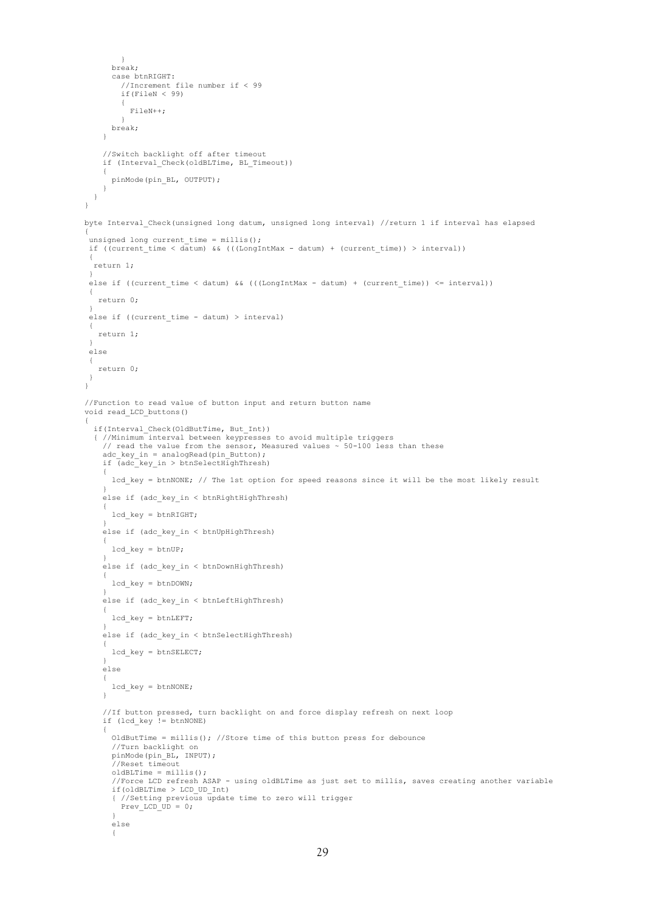```
\rightarrow break;
        case btnRIGHT:
           //Increment file number if < 99
          if(Fi) \in N \leq 99 {
            FileN++;
          }
       break;
     }
      //Switch backlight off after timeout
     if (Interval_Check(oldBLTime, BL_Timeout))
\left\{\begin{array}{ccc} \end{array}\right\} pinMode(pin_BL, OUTPUT);
     }
   }
}

byte Interval_Check(unsigned long datum, unsigned long interval) //return 1 if interval has elapsed
{
 unsigned long current_time = millis();
 if ((current_time < datum) && (((LongIntMax - datum) + (current_time)) > interval))
 {
   return 1;
 }
 else if ((current time < datum) && (((LongIntMax - datum) + (current time)) <= interval))
 {
    return 0;
 }
 else if ((current time - datum) > interval)
 {
    return 1;
 }
 else
 {
    return 0;
 }
}
//Function to read value of button input and return button name
void read_LCD_buttons() 
{
   if(Interval_Check(OldButTime, But_Int))
   { //Minimum interval between keypresses to avoid multiple triggers
     // read the value from the sensor, Measured values \sim 50-100 less than these
 adc_key_in = analogRead(pin_Button); 
 if (adc_key_in > btnSelectHighThresh)
\left\{\begin{array}{ccc} \end{array}\right\} lcd_key = btnNONE; // The 1st option for speed reasons since it will be the most likely result
 }
      else if (adc_key_in < btnRightHighThresh) 
\left\{\begin{array}{ccc} \end{array}\right\} lcd_key = btnRIGHT;
 }
      else if (adc_key_in < btnUpHighThresh) 
\left\{\begin{array}{ccc} \end{array}\right\} lcd_key = btnUP;
 }
      else if (adc_key_in < btnDownHighThresh) 
\left\{\begin{array}{ccc} \end{array}\right\} lcd_key = btnDOWN;
 }
      else if (adc_key_in < btnLeftHighThresh) 
\left\{\begin{array}{ccc} \end{array}\right\}lcd key = btnLEFT;
 }
     .<br>else if (adc key in < btnSelectHighThresh)
\left\{\begin{array}{ccc} \end{array}\right\} lcd_key = btnSELECT;
 }
      else 
      {
       lcd key = btnNONE; }
      //If button pressed, turn backlight on and force display refresh on next loop
      if (lcd_key != btnNONE)
\left\{\begin{array}{ccc} \end{array}\right\} OldButTime = millis(); //Store time of this button press for debounce
        //Turn backlight on
        pinMode(pin_BL, INPUT); 
        //Reset timeout
       oldBLTime = millis();
        //Force LCD refresh ASAP - using oldBLTime as just set to millis, saves creating another variable
        if(oldBLTime > LCD_UD_Int)
 { //Setting previous update time to zero will trigger 
 Prev_LCD_UD = 0;
       \overline{1} else
        {
```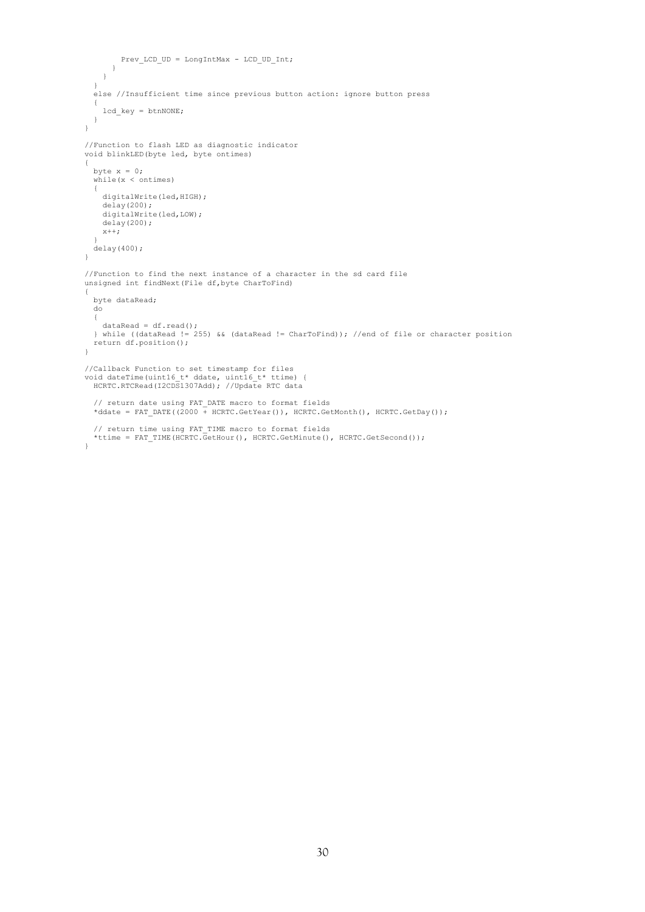```
 Prev_LCD_UD = LongIntMax - LCD_UD_Int;
 }
 }
   }
   else //Insufficient time since previous button action: ignore button press
   { 
     lcd_key = btnNONE; 
   }
}
//Function to flash LED as diagnostic indicator
void blinkLED(byte led, byte ontimes)
{
byte x = 0; while(x < ontimes)
   {
     digitalWrite(led,HIGH);
     delay(200);
     digitalWrite(led,LOW);
     delay(200);
    x++;\lambda delay(400);
}
//Function to find the next instance of a character in the sd card file
unsigned int findNext(File df,byte CharToFind)
{
   byte dataRead;
   do
  \left\{ \right.dataRead = df.read();
   } while ((dataRead != 255) && (dataRead != CharToFind)); //end of file or character position
   return df.position();
}
//Callback Function to set timestamp for files
void dateTime(uint16_t* ddate, uint16_t* ttime) {
 HCRTC.RTCRead(I2CDS1307Add); //Update RTC data
// return date using FAT_DATE macro to format fields<br>*ddate = FAT DATE((2000 + HCRTC.GetYear()), HCRTC.GetMonth(), HCRTC.GetDay());
   // return time using FAT_TIME macro to format fields
  *ttime = FAT TIME(HCRTC.GetHour(), HCRTC.GetMinute(), HCRTC.GetSecond());
}
```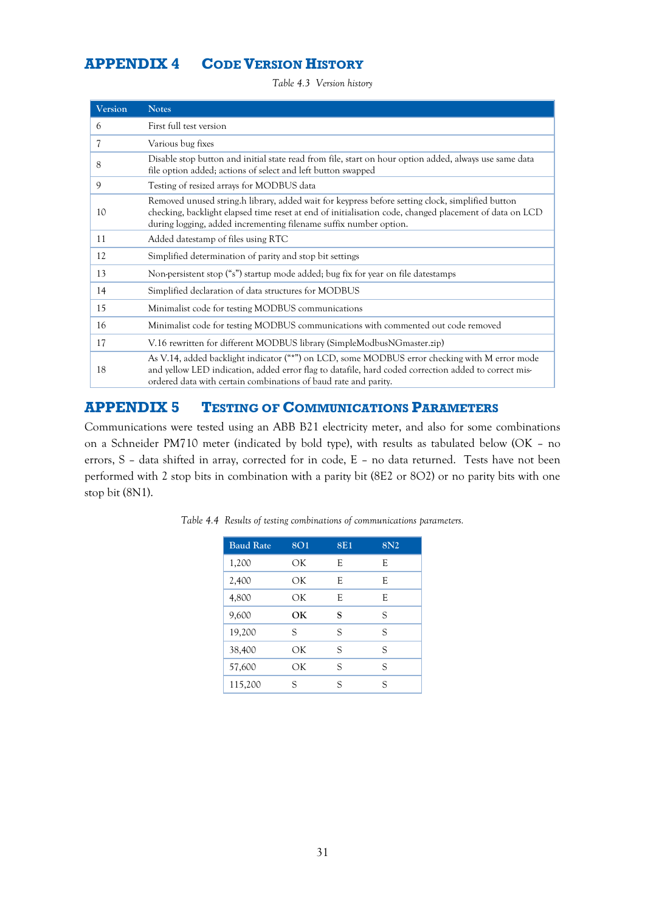<span id="page-30-0"></span>**APPENDIX 4 CODE VERSION HISTORY**

*Table 4.3 Version history*

| Version | <b>Notes</b>                                                                                                                                                                                                                                                                    |
|---------|---------------------------------------------------------------------------------------------------------------------------------------------------------------------------------------------------------------------------------------------------------------------------------|
| 6       | First full test version                                                                                                                                                                                                                                                         |
| 7       | Various bug fixes                                                                                                                                                                                                                                                               |
| 8       | Disable stop button and initial state read from file, start on hour option added, always use same data<br>file option added; actions of select and left button swapped                                                                                                          |
| 9       | Testing of resized arrays for MODBUS data                                                                                                                                                                                                                                       |
| 10      | Removed unused string.h library, added wait for keypress before setting clock, simplified button<br>checking, backlight elapsed time reset at end of initialisation code, changed placement of data on LCD<br>during logging, added incrementing filename suffix number option. |
| 11      | Added datestamp of files using RTC                                                                                                                                                                                                                                              |
| 12      | Simplified determination of parity and stop bit settings                                                                                                                                                                                                                        |
| 13      | Non-persistent stop ("s") startup mode added; bug fix for year on file datestamps                                                                                                                                                                                               |
| 14      | Simplified declaration of data structures for MODBUS                                                                                                                                                                                                                            |
| 15      | Minimalist code for testing MODBUS communications                                                                                                                                                                                                                               |
| 16      | Minimalist code for testing MODBUS communications with commented out code removed                                                                                                                                                                                               |
| 17      | V.16 rewritten for different MODBUS library (SimpleModbusNGmaster.zip)                                                                                                                                                                                                          |
| 18      | As V.14, added backlight indicator ("*") on LCD, some MODBUS error checking with M error mode<br>and yellow LED indication, added error flag to datafile, hard coded correction added to correct mis-<br>ordered data with certain combinations of baud rate and parity.        |

#### <span id="page-30-1"></span>**APPENDIX 5 TESTING OF COMMUNICATIONS PARAMETERS**

Communications were tested using an ABB B21 electricity meter, and also for some combinations on a Schneider PM710 meter (indicated by bold type), with results as tabulated below (OK – no errors, S – data shifted in array, corrected for in code, E – no data returned. Tests have not been performed with 2 stop bits in combination with a parity bit (8E2 or 8O2) or no parity bits with one stop bit (8N1).

| <b>Baud Rate</b> | <b>8O1</b> | <b>8E1</b> | 8N <sub>2</sub> |
|------------------|------------|------------|-----------------|
| 1,200            | OК         | Е          | E               |
| 2,400            | OK         | E          | E               |
| 4,800            | OK         | E          | E               |
| 9,600            | OK         | S          | S               |
| 19,200           | S          | S          | S               |
| 38,400           | ОK         | S          | S               |
| 57,600           | OK         | S          | S               |
| 115,200          | ς          | S          | S               |

*Table 4.4 Results of testing combinations of communications parameters.*